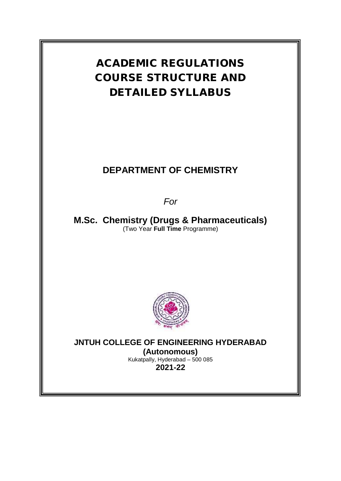

# **DEPARTMENT OF CHEMISTRY**

*For*

**M.Sc. Chemistry (Drugs & Pharmaceuticals)** (Two Year **Full Time** Programme)



**JNTUH COLLEGE OF ENGINEERING HYDERABAD**

**(Autonomous)** Kukatpally, Hyderabad – 500 085 **2021-22**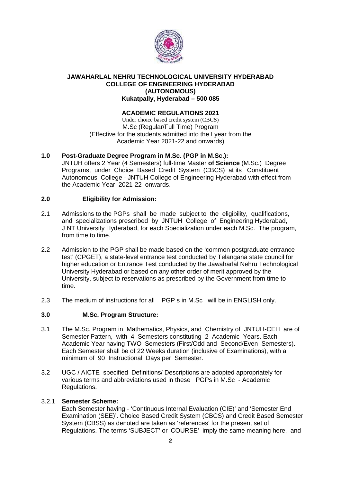

#### **JAWAHARLAL NEHRU TECHNOLOGICAL UNIVERSITY HYDERABAD COLLEGE OF ENGINEERING HYDERABAD (AUTONOMOUS) Kukatpally, Hyderabad – 500 085**

# **ACADEMIC REGULATIONS 2021**

Under choice based credit system (CBCS) M.Sc (Regular/Full Time) Program (Effective for the students admitted into the I year from the Academic Year 2021-22 and onwards)

# **1.0 Post-Graduate Degree Program in M.Sc. (PGP in M.Sc.):**

JNTUH offers 2 Year (4 Semesters) full-time Master **of Science** (M.Sc.) Degree Programs, under Choice Based Credit System (CBCS) at its Constituent Autonomous College - JNTUH College of Engineering Hyderabad with effect from the Academic Year 2021-22 onwards.

# **2.0 Eligibility for Admission:**

- 2.1 Admissions to the PGPs shall be made subject to the eligibility, qualifications, and specializations prescribed by JNTUH College of Engineering Hyderabad, J NT University Hyderabad, for each Specialization under each M.Sc. The program, from time to time.
- 2.2 Admission to the PGP shall be made based on the 'common postgraduate entrance test' (CPGET), a state-level entrance test conducted by Telangana state council for higher education or Entrance Test conducted by the Jawaharlal Nehru Technological University Hyderabad or based on any other order of merit approved by the University, subject to reservations as prescribed by the Government from time to time.
- 2.3 The medium of instructions for all PGP s in M.Sc will be in ENGLISH only.

# **3.0 M.Sc. Program Structure:**

- 3.1 The M.Sc. Program in Mathematics, Physics, and Chemistry of JNTUH-CEH are of Semester Pattern, with 4 Semesters constituting 2 Academic Years. Each Academic Year having TWO Semesters (First/Odd and Second/Even Semesters). Each Semester shall be of 22 Weeks duration (inclusive of Examinations), with a minimum of 90 Instructional Days per Semester.
- 3.2 UGC / AICTE specified Definitions/ Descriptions are adopted appropriately for various terms and abbreviations used in these PGPs in M.Sc - Academic Regulations.

#### 3.2.1 **Semester Scheme:**

Each Semester having - 'Continuous Internal Evaluation (CIE)' and 'Semester End Examination (SEE)'. Choice Based Credit System (CBCS) and Credit Based Semester System (CBSS) as denoted are taken as 'references' for the present set of Regulations. The terms 'SUBJECT' or 'COURSE' imply the same meaning here, and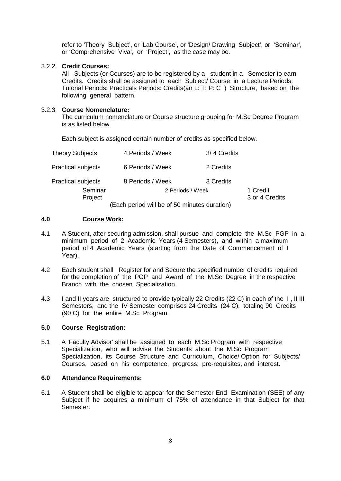refer to 'Theory Subject', or 'Lab Course', or 'Design/ Drawing Subject', or 'Seminar', or 'Comprehensive Viva', or 'Project', as the case may be.

#### 3.2.2 **Credit Courses:**

All Subjects (or Courses) are to be registered by a student in a Semester to earn Credits. Credits shall be assigned to each Subject/ Course in a Lecture Periods: Tutorial Periods: Practicals Periods: Credits(an L: T: P: C ) Structure, based on the following general pattern.

### 3.2.3 **Course Nomenclature:**

The curriculum nomenclature or Course structure grouping for M.Sc Degree Program is as listed below

Each subject is assigned certain number of credits as specified below.

| <b>Theory Subjects</b>    | 4 Periods / Week                             | 3/4 Credits |                            |
|---------------------------|----------------------------------------------|-------------|----------------------------|
| <b>Practical subjects</b> | 6 Periods / Week                             | 2 Credits   |                            |
| <b>Practical subjects</b> | 8 Periods / Week                             | 3 Credits   |                            |
| Seminar<br>Project        | 2 Periods / Week                             |             | 1 Credit<br>3 or 4 Credits |
|                           | (Each period will be of 50 minutes duration) |             |                            |

#### **4.0 Course Work:**

- 4.1 A Student, after securing admission, shall pursue and complete the M.Sc PGP in a minimum period of 2 Academic Years (4 Semesters), and within a maximum period of 4 Academic Years (starting from the Date of Commencement of I Year).
- 4.2 Each student shall Register for and Secure the specified number of credits required for the completion of the PGP and Award of the M.Sc Degree in the respective Branch with the chosen Specialization.
- 4.3 I and II years are structured to provide typically 22 Credits (22 C) in each of the I , II III Semesters, and the IV Semester comprises 24 Credits (24 C), totaling 90 Credits (90 C) for the entire M.Sc Program.

#### **5.0 Course Registration:**

5.1 A 'Faculty Advisor' shall be assigned to each M.Sc Program with respective Specialization, who will advise the Students about the M.Sc Program Specialization, its Course Structure and Curriculum, Choice/ Option for Subjects/ Courses, based on his competence, progress, pre-requisites, and interest.

#### **6.0 Attendance Requirements:**

6.1 A Student shall be eligible to appear for the Semester End Examination (SEE) of any Subject if he acquires a minimum of 75% of attendance in that Subject for that Semester.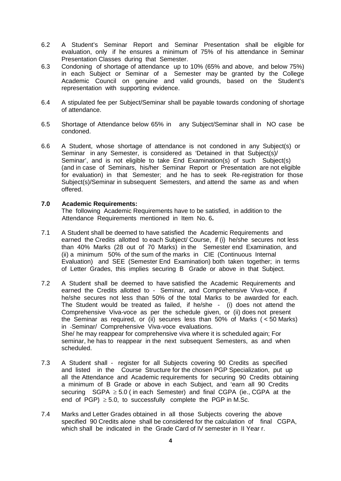- 6.2 A Student's Seminar Report and Seminar Presentation shall be eligible for evaluation, only if he ensures a minimum of 75% of his attendance in Seminar Presentation Classes during that Semester.
- 6.3 Condoning of shortage of attendance up to 10% (65% and above, and below 75%) in each Subject or Seminar of a Semester may be granted by the College Academic Council on genuine and valid grounds, based on the Student's representation with supporting evidence.
- 6.4 A stipulated fee per Subject/Seminar shall be payable towards condoning of shortage of attendance.
- 6.5 Shortage of Attendance below 65% in any Subject/Seminar shall in NO case be condoned.
- 6.6 A Student, whose shortage of attendance is not condoned in any Subject(s) or Seminar in any Semester, is considered as 'Detained in that Subject(s)/ Seminar', and is not eligible to take End Examination(s) of such Subject(s) (and in case of Seminars, his/her Seminar Report or Presentation are not eligible for evaluation) in that Semester; and he has to seek Re-registration for those Subject(s)/Seminar in subsequent Semesters, and attend the same as and when offered.

#### **7.0 Academic Requirements:**

The following Academic Requirements have to be satisfied, in addition to the Attendance Requirements mentioned in Item No. 6**.**

- 7.1 A Student shall be deemed to have satisfied the Academic Requirements and earned the Credits allotted to each Subject/ Course, if (i) he/she secures not less than 40% Marks (28 out of 70 Marks) in the Semester end Examination, and (ii) a minimum 50% of the sum of the marks in CIE (Continuous Internal Evaluation) and SEE (Semester End Examination) both taken together; in terms of Letter Grades, this implies securing B Grade or above in that Subject.
- 7.2 A Student shall be deemed to have satisfied the Academic Requirements and earned the Credits allotted to - Seminar, and Comprehensive Viva-voce, if he/she secures not less than 50% of the total Marks to be awarded for each. The Student would be treated as failed, if he/she - (i) does not attend the Comprehensive Viva-voce as per the schedule given, or (ii) does not present the Seminar as required, or (ii) secures less than 50% of Marks ( < 50 Marks) in Seminar/ Comprehensive Viva-voce evaluations. She/ he may reappear for comprehensive viva where it is scheduled again; For seminar, he has to reappear in the next subsequent Semesters, as and when scheduled.
- 7.3 A Student shall register for all Subjects covering 90 Credits as specified and listed in the Course Structure for the chosen PGP Specialization, put up all the Attendance and Academic requirements for securing 90 Credits obtaining a minimum of B Grade or above in each Subject, and 'earn all 90 Credits securing  $SGPA \geq 5.0$  (in each Semester) and final CGPA (ie., CGPA at the end of PGP)  $\geq$  5.0, to successfully complete the PGP in M.Sc.
- 7.4 Marks and Letter Grades obtained in all those Subjects covering the above specified 90 Credits alone shall be considered for the calculation of final CGPA, which shall be indicated in the Grade Card of IV semester in II Year r.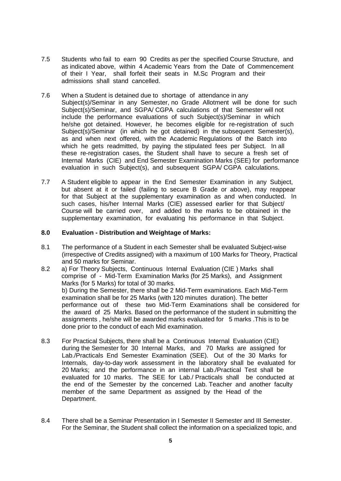- 7.5 Students who fail to earn 90 Credits as per the specified Course Structure, and as indicated above, within 4 Academic Years from the Date of Commencement of their I Year, shall forfeit their seats in M.Sc Program and their admissions shall stand cancelled.
- 7.6 When a Student is detained due to shortage of attendance in any Subject(s)/Seminar in any Semester, no Grade Allotment will be done for such Subject(s)/Seminar, and SGPA/ CGPA calculations of that Semester will not include the performance evaluations of such Subject(s)/Seminar in which he/she got detained. However, he becomes eligible for re-registration of such Subject(s)/Seminar (in which he got detained) in the subsequent Semester(s), as and when next offered, with the Academic Regulations of the Batch into which he gets readmitted, by paying the stipulated fees per Subject. In all these re-registration cases, the Student shall have to secure a fresh set of Internal Marks (CIE) and End Semester Examination Marks (SEE) for performance evaluation in such Subject(s), and subsequent SGPA/ CGPA calculations.
- 7.7 A Student eligible to appear in the End Semester Examination in any Subject, but absent at it or failed (failing to secure B Grade or above), may reappear for that Subject at the supplementary examination as and when conducted. In such cases, his/her Internal Marks (CIE) assessed earlier for that Subject/ Course will be carried over, and added to the marks to be obtained in the supplementary examination, for evaluating his performance in that Subject.

#### **8.0 Evaluation - Distribution and Weightage of Marks:**

- 8.1 The performance of a Student in each Semester shall be evaluated Subject-wise (irrespective of Credits assigned) with a maximum of 100 Marks for Theory, Practical and 50 marks for Seminar.
- 8.2 a) For Theory Subjects, Continuous Internal Evaluation (CIE ) Marks shall comprise of - Mid-Term Examination Marks (for 25 Marks), and Assignment Marks (for 5 Marks) for total of 30 marks. b) During the Semester, there shall be 2 Mid-Term examinations. Each Mid-Term examination shall be for 25 Marks (with 120 minutes duration). The better performance out of these two Mid-Term Examinations shall be considered for the award of 25 Marks. Based on the performance of the student in submitting the assignments , he/she will be awarded marks evaluated for 5 marks .This is to be done prior to the conduct of each Mid examination.
- 8.3 For Practical Subjects, there shall be a Continuous Internal Evaluation (CIE) during the Semester for 30 Internal Marks, and 70 Marks are assigned for Lab./Practicals End Semester Examination (SEE). Out of the 30 Marks for Internals, day-to-day work assessment in the laboratory shall be evaluated for 20 Marks; and the performance in an internal Lab./Practical Test shall be evaluated for 10 marks. The SEE for Lab./ Practicals shall be conducted at the end of the Semester by the concerned Lab. Teacher and another faculty member of the same Department as assigned by the Head of the Department.
- 8.4 There shall be a Seminar Presentation in I Semester II Semester and III Semester. For the Seminar, the Student shall collect the information on a specialized topic, and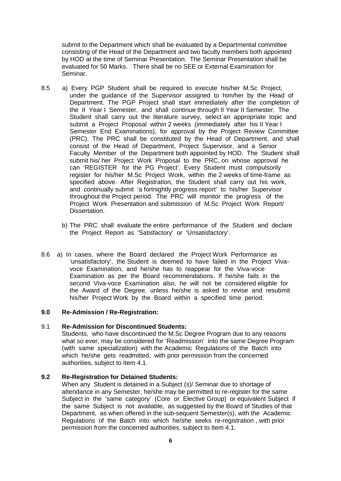submit to the Department which shall be evaluated by a Departmental committee consisting of the Head of the Department and two faculty members both appointed by HOD at the time of Seminar Presentation. The Seminar Presentation shall be evaluated for 50 Marks. There shall be no SEE or External Examination for Seminar.

- 8.5 a) Every PGP Student shall be required to execute his/her M.Sc Project, under the guidance of the Supervisor assigned to him/her by the Head of Department. The PGP Project shall start immediately after the completion of the II Year I Semester, and shall continue through II Year II Semester. The Student shall carry out the literature survey, select an appropriate topic and submit a Project Proposal within 2 weeks (immediately after his II Year I Semester End Examinations), for approval by the Project Review Committee (PRC). The PRC shall be constituted by the Head of Department, and shall consist of the Head of Department, Project Supervisor, and a Senior Faculty Member of the Department both appointed by HOD. The Student shall submit his/ her Project Work Proposal to the PRC, on whose approval he can 'REGISTER for the PG Project'. Every Student must compulsorily register for his/her M.Sc Project Work, within the 2 weeks of time-frame as specified above. After Registration, the Student shall carry out his work, and continually submit 'a fortnightly progress report' to his/her Supervisor throughout the Project period. The PRC will monitor the progress of the Project Work Presentation and submission of M.Sc Project Work Report/ Dissertation.
	- b) The PRC shall evaluate the entire performance of the Student and declare the Project Report as 'Satisfactory' or 'Unsatisfactory'.
- 8.6 a) In cases, where the Board declared the Project Work Performance as 'unsatisfactory', the Student is deemed to have failed in the Project Viva voce Examination, and he/she has to reappear for the Viva-voce Examination as per the Board recommendations. If he/she fails in the second Viva-voce Examination also, he will not be considered eligible for the Award of the Degree, unless he/she is asked to revise and resubmit his/her Project Work by the Board within a specified time period.

#### **9.0 Re-Admission / Re-Registration:**

#### 9.1 **Re-Admission for Discontinued Students:**

Students, who have discontinued the M.Sc Degree Program due to any reasons what so ever, may be considered for 'Readmission' into the same Degree Program (with same specialization) with the Academic Regulations of the Batch into which he/she gets readmitted, with prior permission from the concerned authorities, subject to Item 4.1.

#### **9.2 Re-Registration for Detained Students:**

When any Student is detained in a Subject (s)/ Seminar due to shortage of attendance in any Semester, he/she may be permitted to re-register for the same Subject in the 'same category' (Core or Elective Group) or equivalent Subject if the same Subject is not available, as suggested by the Board of Studies of that Department, as when offered in the sub-sequent Semester(s), with the Academic Regulations of the Batch into which he/she seeks re-registration , with prior permission from the concerned authorities, subject to Item 4.1.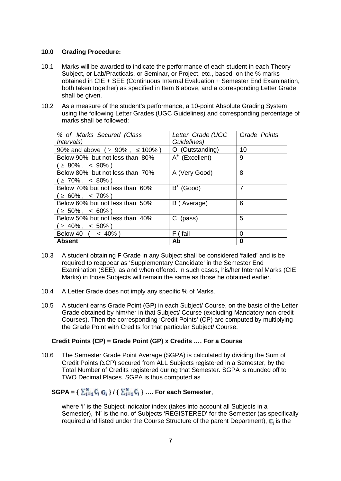# **10.0 Grading Procedure:**

- 10.1 Marks will be awarded to indicate the performance of each student in each Theory Subject, or Lab/Practicals, or Seminar, or Project, etc., based on the % marks obtained in CIE + SEE (Continuous Internal Evaluation + Semester End Examination, both taken together) as specified in Item 6 above, and a corresponding Letter Grade shall be given.
- 10.2 As a measure of the student's performance, a 10-point Absolute Grading System using the following Letter Grades (UGC Guidelines) and corresponding percentage of marks shall be followed:

| % of Marks Secured (Class<br><i>Intervals</i> ) | Letter Grade (UGC<br>Guidelines) | Grade Points |
|-------------------------------------------------|----------------------------------|--------------|
| 90% and above $(2, 90\% , 100\%)$               | O (Outstanding)                  | 10           |
| Below 90% but not less than 80%                 | $A^+$ (Excellent)                | 9            |
| $( \geq 80\% , \leq 90\%)$                      |                                  |              |
| Below 80% but not less than 70%                 | A (Very Good)                    | 8            |
| $( \geq 70\% , \leq 80\%)$                      |                                  |              |
| Below 70% but not less than 60%                 | $B^+$ (Good)                     | 7            |
| $( \geq 60\% , \ < 70\%)$                       |                                  |              |
| Below 60% but not less than 50%                 | B (Average)                      | 6            |
| $( \geq 50\% , \leq 60\%)$                      |                                  |              |
| Below 50% but not less than 40%                 | C (pass)                         | 5            |
| $( \geq 40\% , \ < 50\%)$                       |                                  |              |
| Below 40 $($ < 40%)                             | F (fail                          | 0            |
| <b>Absent</b>                                   | Ab                               | 0            |

- 10.3 A student obtaining F Grade in any Subject shall be considered 'failed' and is be required to reappear as 'Supplementary Candidate' in the Semester End Examination (SEE), as and when offered. In such cases, his/her Internal Marks (CIE Marks) in those Subjects will remain the same as those he obtained earlier.
- 10.4 A Letter Grade does not imply any specific % of Marks.
- 10.5 A student earns Grade Point (GP) in each Subject/ Course, on the basis of the Letter Grade obtained by him/her in that Subject/ Course (excluding Mandatory non-credit Courses). Then the corresponding 'Credit Points' (CP) are computed by multiplying the Grade Point with Credits for that particular Subject/ Course.

# **Credit Points (CP) = Grade Point (GP) x Credits …. For a Course**

10.6 The Semester Grade Point Average (SGPA) is calculated by dividing the Sum of Credit Points ( $\Sigma$ CP) secured from ALL Subjects registered in a Semester, by the Total Number of Credits registered during that Semester. SGPA is rounded off to TWO Decimal Places. SGPA is thus computed as

# **SGPA = {**  $\sum_{i=1}^{N}$  **C<sub>i</sub> G<sub>i</sub>**</sub> } / {  $\sum_{i=1}^{N}$  **C<sub>i</sub>** } ... For each Semester,

where 'i' is the Subject indicator index (takes into account all Subjects in a Semester), 'N' is the no. of Subjects 'REGISTERED' for the Semester (as specifically required and listed under the Course Structure of the parent Department), C<sub>i</sub> is the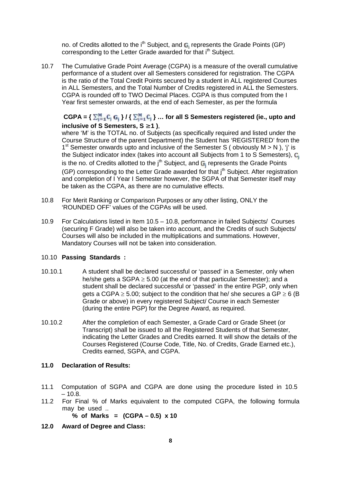no. of Credits allotted to the i<sup>th</sup> Subject, and G<sub>i</sub> represents the Grade Points (GP) corresponding to the Letter Grade awarded for that i<sup>th</sup> Subject.

10.7 The Cumulative Grade Point Average (CGPA) is a measure of the overall cumulative performance of a student over all Semesters considered for registration. The CGPA is the ratio of the Total Credit Points secured by a student in ALL registered Courses in ALL Semesters, and the Total Number of Credits registered in ALL the Semesters. CGPA is rounded off to TWO Decimal Places. CGPA is thus computed from the I Year first semester onwards, at the end of each Semester, as per the formula

# $CGPA = \{ \sum_{i=1}^{M} C_i | G_i \} / \{ \sum_{i=1}^{M} C_i \} ...$  for all S Semesters registered (ie., upto and **inclusive of S Semesters, S 1 )**,

where 'M' is the TOTAL no. of Subjects (as specifically required and listed under the Course Structure of the parent Department) the Student has 'REGISTERED' from the 1<sup>st</sup> Semester onwards upto and inclusive of the Semester S (obviously M > N), 'j' is the Subject indicator index (takes into account all Subjects from 1 to S Semesters), C is the no. of Credits allotted to the  $j<sup>th</sup>$  Subject, and  $G_i$  represents the Grade Points (GP) corresponding to the Letter Grade awarded for that  $j<sup>th</sup>$  Subject. After registration and completion of I Year I Semester however, the SGPA of that Semester itself may be taken as the CGPA, as there are no cumulative effects.

- 10.8 For Merit Ranking or Comparison Purposes or any other listing, ONLY the 'ROUNDED OFF' values of the CGPAs will be used.
- 10.9 For Calculations listed in Item 10.5 10.8, performance in failed Subjects/ Courses (securing F Grade) will also be taken into account, and the Credits of such Subjects/ Courses will also be included in the multiplications and summations. However, Mandatory Courses will not be taken into consideration.

# 10.10 **Passing Standards :**

- 10.10.1 A student shall be declared successful or 'passed' in a Semester, only when he/she gets a SGPA  $\geq$  5.00 (at the end of that particular Semester); and a student shall be declared successful or 'passed' in the entire PGP, only when gets a CGPA  $\geq$  5.00; subject to the condition that he/ she secures a GP  $\geq$  6 (B) Grade or above) in every registered Subject/ Course in each Semester (during the entire PGP) for the Degree Award, as required.
- 10.10.2 After the completion of each Semester, a Grade Card or Grade Sheet (or Transcript) shall be issued to all the Registered Students of that Semester, indicating the Letter Grades and Credits earned. It will show the details of the Courses Registered (Course Code, Title, No. of Credits, Grade Earned etc.), Credits earned, SGPA, and CGPA.

# **11.0 Declaration of Results:**

- 11.1 Computation of SGPA and CGPA are done using the procedure listed in 10.5  $-10.8.$
- 11.2 For Final % of Marks equivalent to the computed CGPA, the following formula may be used ..

**% of Marks = (CGPA – 0.5) x 10**

**12.0 Award of Degree and Class:**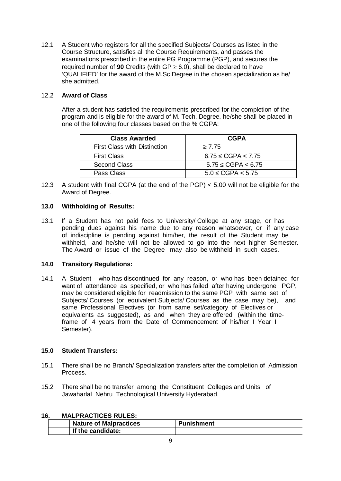12.1 A Student who registers for all the specified Subjects/ Courses as listed in the Course Structure, satisfies all the Course Requirements, and passes the examinations prescribed in the entire PG Programme (PGP), and secures the required number of **90** Credits (with  $GP \ge 6.0$ ), shall be declared to have 'QUALIFIED' for the award of the M.Sc Degree in the chosen specialization as he/ she admitted.

# 12.2 **Award of Class**

After a student has satisfied the requirements prescribed for the completion of the program andis eligible for the award of M. Tech. Degree, he/she shall be placed in one of the following four classes based on the % CGPA:

| <b>Class Awarded</b>                | <b>CGPA</b>         |
|-------------------------------------|---------------------|
| <b>First Class with Distinction</b> | 7.75                |
| <b>First Class</b>                  | 6.75 $CGPA < 7.75$  |
| Second Class                        | 5.75 $CGPA < 6.75$  |
| Pass Class                          | $5.0$ CGPA $< 5.75$ |

12.3 A student with final CGPA (at the end of the PGP) < 5.00 will not be eligible for the Award of Degree.

# **13.0 Withholding of Results:**

13.1 If a Student has not paid fees to University/ College at any stage, or has pending dues against his name due to any reason whatsoever, or if any case of indiscipline is pending against him/her, the result of the Student may be withheld, and he/she will not be allowed to go into the next higher Semester. The Award or issue of the Degree may also be withheld in such cases.

# **14.0 Transitory Regulations:**

14.1 A Student - who has discontinued for any reason, or who has been detained for want of attendance as specified, or who has failed after having undergone PGP, may be considered eligible for readmission to the same PGP with same set of Subjects/ Courses (or equivalent Subjects/ Courses as the case may be), and same Professional Electives (or from same set/category of Electives or equivalents as suggested), as and when they are offered (within the timeframe of 4 years from the Date of Commencement of his/her I Year I Semester).

# **15.0 Student Transfers:**

- 15.1 There shall be no Branch/ Specialization transfers after the completion of Admission Process.
- 15.2 There shall be no transfer among the Constituent Colleges and Units of Jawaharlal Nehru Technological University Hyderabad.

| 16. | <b>MALPRACTICES RULES:</b> |  |
|-----|----------------------------|--|
|-----|----------------------------|--|

| <b>Nature of Malpractices</b> | <b>Punishment</b> |
|-------------------------------|-------------------|
| If the candidate:             |                   |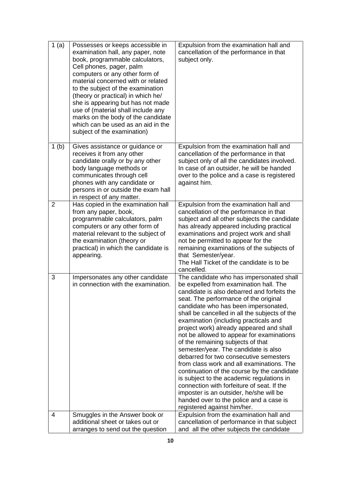| 1(a)             | Possesses or keeps accessible in<br>examination hall, any paper, note<br>book, programmable calculators,<br>Cell phones, pager, palm<br>computers or any other form of<br>material concerned with or related<br>to the subject of the examination<br>(theory or practical) in which he/<br>she is appearing but has not made<br>use of (material shall include any<br>marks on the body of the candidate<br>which can be used as an aid in the<br>subject of the examination) | Expulsion from the examination hall and<br>cancellation of the performance in that<br>subject only.                                                                                                                                                                                                                                                                                                                                                                                                                                                                                                                                                                                                                                                                                                                                      |
|------------------|-------------------------------------------------------------------------------------------------------------------------------------------------------------------------------------------------------------------------------------------------------------------------------------------------------------------------------------------------------------------------------------------------------------------------------------------------------------------------------|------------------------------------------------------------------------------------------------------------------------------------------------------------------------------------------------------------------------------------------------------------------------------------------------------------------------------------------------------------------------------------------------------------------------------------------------------------------------------------------------------------------------------------------------------------------------------------------------------------------------------------------------------------------------------------------------------------------------------------------------------------------------------------------------------------------------------------------|
| 1 <sub>(b)</sub> | Gives assistance or guidance or<br>receives it from any other<br>candidate orally or by any other<br>body language methods or<br>communicates through cell<br>phones with any candidate or<br>persons in or outside the exam hall<br>in respect of any matter.                                                                                                                                                                                                                | Expulsion from the examination hall and<br>cancellation of the performance in that<br>subject only of all the candidates involved.<br>In case of an outsider, he will be handed<br>over to the police and a case is registered<br>against him.                                                                                                                                                                                                                                                                                                                                                                                                                                                                                                                                                                                           |
| $\overline{2}$   | Has copied in the examination hall<br>from any paper, book,<br>programmable calculators, palm<br>computers or any other form of<br>material relevant to the subject of<br>the examination (theory or<br>practical) in which the candidate is<br>appearing.                                                                                                                                                                                                                    | Expulsion from the examination hall and<br>cancellation of the performance in that<br>subject and all other subjects the candidate<br>has already appeared including practical<br>examinations and project work and shall<br>not be permitted to appear for the<br>remaining examinations of the subjects of<br>that Semester/year.<br>The Hall Ticket of the candidate is to be<br>cancelled.                                                                                                                                                                                                                                                                                                                                                                                                                                           |
| 3                | Impersonates any other candidate<br>in connection with the examination.                                                                                                                                                                                                                                                                                                                                                                                                       | The candidate who has impersonated shall<br>be expelled from examination hall. The<br>candidate is also debarred and forfeits the<br>seat. The performance of the original<br>candidate who has been impersonated,<br>shall be cancelled in all the subjects of the<br>examination (including practicals and<br>project work) already appeared and shall<br>not be allowed to appear for examinations<br>of the remaining subjects of that<br>semester/year. The candidate is also<br>debarred for two consecutive semesters<br>from class work and all examinations. The<br>continuation of the course by the candidate<br>is subject to the academic regulations in<br>connection with forfeiture of seat. If the<br>imposter is an outsider, he/she will be<br>handed over to the police and a case is<br>registered against him/her. |
| 4                | Smuggles in the Answer book or                                                                                                                                                                                                                                                                                                                                                                                                                                                | Expulsion from the examination hall and                                                                                                                                                                                                                                                                                                                                                                                                                                                                                                                                                                                                                                                                                                                                                                                                  |
|                  | additional sheet or takes out or<br>arranges to send out the question                                                                                                                                                                                                                                                                                                                                                                                                         | cancellation of performance in that subject<br>and all the other subjects the candidate                                                                                                                                                                                                                                                                                                                                                                                                                                                                                                                                                                                                                                                                                                                                                  |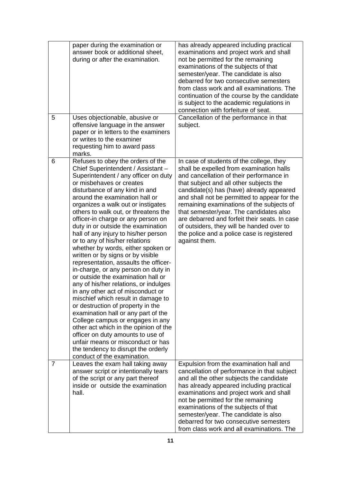| 5              | paper during the examination or<br>answer book or additional sheet,<br>during or after the examination.<br>Uses objectionable, abusive or<br>offensive language in the answer<br>paper or in letters to the examiners<br>or writes to the examiner<br>requesting him to award pass                                                                                                                                                                                                                                                                                                                                                                                                                                                                                                                                                                                                                                                                                                                                                                                                          | has already appeared including practical<br>examinations and project work and shall<br>not be permitted for the remaining<br>examinations of the subjects of that<br>semester/year. The candidate is also<br>debarred for two consecutive semesters<br>from class work and all examinations. The<br>continuation of the course by the candidate<br>is subject to the academic regulations in<br>connection with forfeiture of seat.<br>Cancellation of the performance in that<br>subject.                                   |
|----------------|---------------------------------------------------------------------------------------------------------------------------------------------------------------------------------------------------------------------------------------------------------------------------------------------------------------------------------------------------------------------------------------------------------------------------------------------------------------------------------------------------------------------------------------------------------------------------------------------------------------------------------------------------------------------------------------------------------------------------------------------------------------------------------------------------------------------------------------------------------------------------------------------------------------------------------------------------------------------------------------------------------------------------------------------------------------------------------------------|------------------------------------------------------------------------------------------------------------------------------------------------------------------------------------------------------------------------------------------------------------------------------------------------------------------------------------------------------------------------------------------------------------------------------------------------------------------------------------------------------------------------------|
| 6              | marks.<br>Refuses to obey the orders of the<br>Chief Superintendent / Assistant -<br>Superintendent / any officer on duty<br>or misbehaves or creates<br>disturbance of any kind in and<br>around the examination hall or<br>organizes a walk out or instigates<br>others to walk out, or threatens the<br>officer-in charge or any person on<br>duty in or outside the examination<br>hall of any injury to his/her person<br>or to any of his/her relations<br>whether by words, either spoken or<br>written or by signs or by visible<br>representation, assaults the officer-<br>in-charge, or any person on duty in<br>or outside the examination hall or<br>any of his/her relations, or indulges<br>in any other act of misconduct or<br>mischief which result in damage to<br>or destruction of property in the<br>examination hall or any part of the<br>College campus or engages in any<br>other act which in the opinion of the<br>officer on duty amounts to use of<br>unfair means or misconduct or has<br>the tendency to disrupt the orderly<br>conduct of the examination. | In case of students of the college, they<br>shall be expelled from examination halls<br>and cancellation of their performance in<br>that subject and all other subjects the<br>candidate(s) has (have) already appeared<br>and shall not be permitted to appear for the<br>remaining examinations of the subjects of<br>that semester/year. The candidates also<br>are debarred and forfeit their seats. In case<br>of outsiders, they will be handed over to<br>the police and a police case is registered<br>against them. |
| $\overline{7}$ | Leaves the exam hall taking away<br>answer script or intentionally tears<br>of the script or any part thereof<br>inside or outside the examination<br>hall.                                                                                                                                                                                                                                                                                                                                                                                                                                                                                                                                                                                                                                                                                                                                                                                                                                                                                                                                 | Expulsion from the examination hall and<br>cancellation of performance in that subject<br>and all the other subjects the candidate<br>has already appeared including practical<br>examinations and project work and shall<br>not be permitted for the remaining<br>examinations of the subjects of that<br>semester/year. The candidate is also<br>debarred for two consecutive semesters<br>from class work and all examinations. The                                                                                       |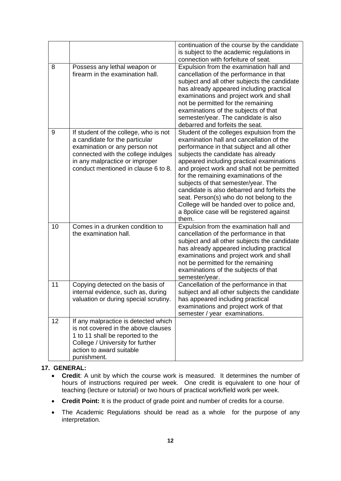|    |                                                                                                                                                                                                                          | continuation of the course by the candidate<br>is subject to the academic regulations in<br>connection with forfeiture of seat.                                                                                                                                                                                                                                                                                                                                                                                                                      |
|----|--------------------------------------------------------------------------------------------------------------------------------------------------------------------------------------------------------------------------|------------------------------------------------------------------------------------------------------------------------------------------------------------------------------------------------------------------------------------------------------------------------------------------------------------------------------------------------------------------------------------------------------------------------------------------------------------------------------------------------------------------------------------------------------|
| 8  | Possess any lethal weapon or<br>firearm in the examination hall.                                                                                                                                                         | Expulsion from the examination hall and<br>cancellation of the performance in that<br>subject and all other subjects the candidate<br>has already appeared including practical<br>examinations and project work and shall<br>not be permitted for the remaining<br>examinations of the subjects of that<br>semester/year. The candidate is also<br>debarred and forfeits the seat.                                                                                                                                                                   |
| 9  | If student of the college, who is not<br>a candidate for the particular<br>examination or any person not<br>connected with the college indulges<br>in any malpractice or improper<br>conduct mentioned in clause 6 to 8. | Student of the colleges expulsion from the<br>examination hall and cancellation of the<br>performance in that subject and all other<br>subjects the candidate has already<br>appeared including practical examinations<br>and project work and shall not be permitted<br>for the remaining examinations of the<br>subjects of that semester/year. The<br>candidate is also debarred and forfeits the<br>seat. Person(s) who do not belong to the<br>College will be handed over to police and,<br>a 8police case will be registered against<br>them. |
| 10 | Comes in a drunken condition to<br>the examination hall.                                                                                                                                                                 | Expulsion from the examination hall and<br>cancellation of the performance in that<br>subject and all other subjects the candidate<br>has already appeared including practical<br>examinations and project work and shall<br>not be permitted for the remaining<br>examinations of the subjects of that<br>semester/year.                                                                                                                                                                                                                            |
| 11 | Copying detected on the basis of<br>internal evidence, such as, during<br>valuation or during special scrutiny.                                                                                                          | Cancellation of the performance in that<br>subject and all other subjects the candidate<br>has appeared including practical<br>examinations and project work of that<br>semester / year examinations.                                                                                                                                                                                                                                                                                                                                                |
| 12 | If any malpractice is detected which<br>is not covered in the above clauses<br>1 to 11 shall be reported to the<br>College / University for further<br>action to award suitable<br>punishment.                           |                                                                                                                                                                                                                                                                                                                                                                                                                                                                                                                                                      |

# **17. GENERAL:**

- **Credit**: A unit by which the course work is measured. It determines the number of hours of instructions required per week. One credit is equivalent to one hour of teaching (lecture or tutorial) or two hours of practical work/field work per week.
- **Credit Point:** It is the product of grade point and number of credits for a course.
- The Academic Regulations should be read as a whole for the purpose of any interpretation.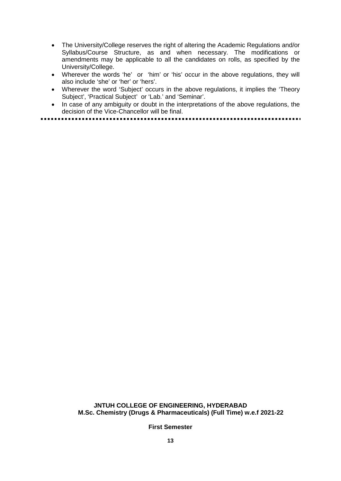- The University/College reserves the right of altering the Academic Regulations and/or Syllabus/Course Structure, as and when necessary. The modifications or amendments may be applicable to all the candidates on rolls, as specified by the University/College.
- Wherever the words 'he' or 'him' or 'his' occur in the above regulations, they will also include 'she' or 'her' or 'hers'.
- Wherever the word 'Subject' occurs in the above regulations, it implies the 'Theory Subject', 'Practical Subject' or 'Lab.' and 'Seminar'.
- In case of any ambiguity or doubt in the interpretations of the above regulations, the decision of the Vice-Chancellor will be final.

# **JNTUH COLLEGE OF ENGINEERING, HYDERABAD M.Sc. Chemistry (Drugs & Pharmaceuticals) (Full Time) w.e.f 2021-22**

**First Semester**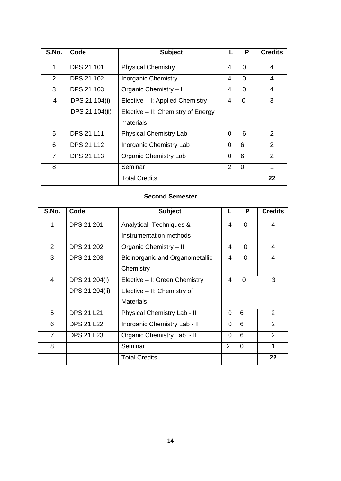| S.No.          | Code              | <b>Subject</b>                     |                | P              | <b>Credits</b> |
|----------------|-------------------|------------------------------------|----------------|----------------|----------------|
| 1              | <b>DPS 21 101</b> | <b>Physical Chemistry</b>          | 4              | $\Omega$       | 4              |
| $\mathcal{P}$  | <b>DPS 21 102</b> | <b>Inorganic Chemistry</b>         | $\overline{4}$ | $\Omega$       | 4              |
| 3              | <b>DPS 21 103</b> | Organic Chemistry - I              | $\overline{4}$ | $\Omega$       | $\overline{4}$ |
| 4              | DPS 21 104(i)     | Elective - I: Applied Chemistry    | $\overline{4}$ | $\Omega$       | 3              |
|                | DPS 21 104(ii)    | Elective - II: Chemistry of Energy |                |                |                |
|                |                   | materials                          |                |                |                |
| 5              | <b>DPS 21 L11</b> | <b>Physical Chemistry Lab</b>      | $\Omega$       | 6              | 2              |
| 6              | <b>DPS 21 L12</b> | Inorganic Chemistry Lab            | $\Omega$       | 6              | $\overline{2}$ |
| $\overline{7}$ | <b>DPS 21 L13</b> | <b>Organic Chemistry Lab</b>       | $\Omega$       | 6              | $\overline{2}$ |
| 8              |                   | Seminar                            | $\overline{2}$ | $\overline{0}$ | 1              |
|                |                   | <b>Total Credits</b>               |                |                | 22             |

#### **Second Semester**

| S.No.          | Code              | <b>Subject</b>                     | L              | P              | <b>Credits</b> |  |
|----------------|-------------------|------------------------------------|----------------|----------------|----------------|--|
| 1              | <b>DPS 21 201</b> | Analytical Techniques &            | 4              | $\Omega$       | 4              |  |
|                |                   | Instrumentation methods            |                |                |                |  |
| $\overline{2}$ | <b>DPS 21 202</b> | Organic Chemistry - II             | 4              | $\Omega$       | $\overline{4}$ |  |
| 3              | <b>DPS 21 203</b> | Bioinorganic and Organometallic    | 4              | $\Omega$       | 4              |  |
|                |                   | Chemistry                          |                |                |                |  |
| $\overline{4}$ | DPS 21 204(i)     | Elective - I: Green Chemistry      | 4              | $\Omega$       | 3              |  |
|                | DPS 21 204(ii)    | Elective - II: Chemistry of        |                |                |                |  |
|                |                   | <b>Materials</b>                   |                |                |                |  |
| 5              | <b>DPS 21 L21</b> | <b>Physical Chemistry Lab - II</b> | $\Omega$       | 6              | 2              |  |
| 6              | <b>DPS 21 L22</b> | Inorganic Chemistry Lab - II       | $\Omega$       | 6              | $\overline{2}$ |  |
| $\overline{7}$ | <b>DPS 21 L23</b> | Organic Chemistry Lab - II         | $\Omega$       | 6              | 2              |  |
| 8              |                   | Seminar                            | $\overline{2}$ | $\overline{0}$ | 1              |  |
|                |                   | <b>Total Credits</b>               |                |                | 22             |  |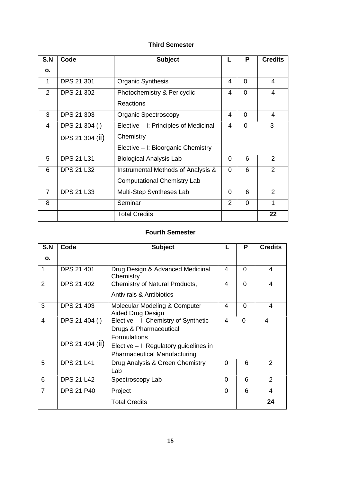# **Third Semester**

| S.N            | Code              | <b>Subject</b>                        |          | P              | <b>Credits</b> |
|----------------|-------------------|---------------------------------------|----------|----------------|----------------|
| о.             |                   |                                       |          |                |                |
| 1              | DPS 21 301        | <b>Organic Synthesis</b>              | 4        | $\Omega$       | 4              |
| $\overline{2}$ | <b>DPS 21 302</b> | Photochemistry & Pericyclic           | 4        | $\overline{0}$ | 4              |
|                |                   | <b>Reactions</b>                      |          |                |                |
| 3              | DPS 21 303        | <b>Organic Spectroscopy</b>           | 4        | $\Omega$       | 4              |
| 4              | DPS 21 304 (i)    | Elective – I: Principles of Medicinal | 4        | $\overline{0}$ | 3              |
|                | DPS 21 304 (ii)   | Chemistry                             |          |                |                |
|                |                   | Elective - I: Bioorganic Chemistry    |          |                |                |
| 5              | <b>DPS 21 L31</b> | <b>Biological Analysis Lab</b>        | $\Omega$ | 6              | $\overline{2}$ |
| 6              | <b>DPS 21 L32</b> | Instrumental Methods of Analysis &    | $\Omega$ | 6              | $\overline{2}$ |
|                |                   | <b>Computational Chemistry Lab</b>    |          |                |                |
| $\overline{7}$ | <b>DPS 21 L33</b> | Multi-Step Syntheses Lab              | $\Omega$ | 6              | $\overline{2}$ |
| 8              |                   | Seminar                               | 2        | $\overline{0}$ | 1              |
|                |                   | <b>Total Credits</b>                  |          |                | 22             |

# **Fourth Semester**

| S.N            | Code              | <b>Subject</b>                                                                        | L              | P              | <b>Credits</b> |
|----------------|-------------------|---------------------------------------------------------------------------------------|----------------|----------------|----------------|
| О.             |                   |                                                                                       |                |                |                |
| 1              | <b>DPS 21 401</b> | Drug Design & Advanced Medicinal<br>Chemistry                                         | 4              | $\Omega$       | 4              |
| 2              | <b>DPS 21 402</b> | Chemistry of Natural Products,<br>Antivirals & Antibiotics                            | 4              | $\Omega$       | 4              |
| 3              | <b>DPS 21 403</b> | Molecular Modeling & Computer<br>Aided Drug Design                                    | 4              | $\Omega$       | $\overline{4}$ |
| $\overline{4}$ | DPS 21 404 (i)    | Elective – I: Chemistry of Synthetic<br>Drugs & Pharmaceutical<br><b>Formulations</b> | $\overline{4}$ | $\overline{0}$ | 4              |
|                | DPS 21 404 (ii)   | Elective – I: Regulatory guidelines in<br><b>Pharmaceutical Manufacturing</b>         |                |                |                |
| 5              | <b>DPS 21 L41</b> | Drug Analysis & Green Chemistry<br>Lab                                                | $\Omega$       | 6              | 2              |
| 6              | <b>DPS 21 L42</b> | Spectroscopy Lab                                                                      | $\Omega$       | 6              | 2              |
| $\overline{7}$ | <b>DPS 21 P40</b> | Project                                                                               | $\Omega$       | 6              | 4              |
|                |                   | <b>Total Credits</b>                                                                  |                |                | 24             |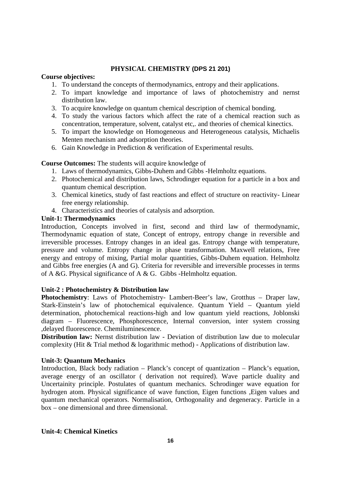# **PHYSICAL CHEMISTRY (DPS 21 201)**

### **Course objectives:**

- 1. To understand the concepts of thermodynamics, entropy and their applications.
- 2. To impart knowledge and importance of laws of photochemistry and nernst distribution law.
- 3. To acquire knowledge on quantum chemical description of chemical bonding.
- 4. To study the various factors which affect the rate of a chemical reaction such as concentration, temperature, solvent, catalyst etc,. and theories of chemical kinectics.
- 5. To impart the knowledge on Homogeneous and Heterogeneous catalysis, Michaelis Menten mechanism and adsorption theories.
- 6. Gain Knowledge in Prediction & verification of Experimental results.

### **Course Outcomes:** The students will acquire knowledge of

- 1. Laws of thermodynamics, Gibbs-Duhem and Gibbs -Helmholtz equations.
- 2. Photochemical and distribution laws, Schrodinger equation for a particle in a box and quantum chemical description.
- 3. Chemical kinetics, study of fast reactions and effect of structure on reactivity- Linear free energy relationship.
- 4. Characteristics and theories of catalysis and adsorption.

# **Unit-1: Thermodynamics**

Introduction, Concepts involved in first, second and third law of thermodynamic, Thermodynamic equation of state, Concept of entropy, entropy change in reversible and irreversible processes. Entropy changes in an ideal gas. Entropy change with temperature, pressure and volume. Entropy change in phase transformation. Maxwell relations, Free energy and entropy of mixing, Partial molar quantities, Gibbs-Duhem equation. Helmholtz and Gibbs free energies (A and G). Criteria for reversible and irreversible processes in terms of A &G. Physical significance of A & G. Gibbs -Helmholtz equation.

# **Unit-2 : Photochemistry & Distribution law**

**Photochemistry**: Laws of Photochemistry- Lambert-Beer's law, Grotthus – Draper law, Stark-Einstein's law of photochemical equivalence. Quantum Yield – Quantum yield determination, photochemical reactions-high and low quantum yield reactions, Joblonski diagram – Fluorescence, Phosphorescence, Internal conversion, inter system crossing ,delayed fluorescence. Chemiluminescence.

**Distribution law:** Nernst distribution law - Deviation of distribution law due to molecular complexity (Hit & Trial method & logarithmic method) - Applications of distribution law.

#### **Unit-3: Quantum Mechanics**

Introduction, Black body radiation – Planck's concept of quantization – Planck's equation, average energy of an oscillator ( derivation not required). Wave particle duality and Uncertainity principle. Postulates of quantum mechanics. Schrodinger wave equation for hydrogen atom. Physical significance of wave function, Eigen functions ,Eigen values and quantum mechanical operators. Normalisation, Orthogonality and degeneracy. Particle in a box – one dimensional and three dimensional.

# **Unit-4: Chemical Kinetics**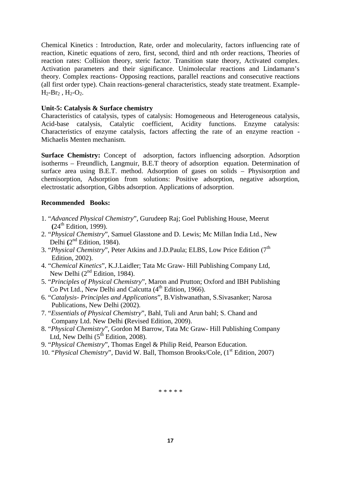Chemical Kinetics : Introduction, Rate, order and molecularity, factors influencing rate of reaction, Kinetic equations of zero, first, second, third and nth order reactions, Theories of reaction rates: Collision theory, steric factor. Transition state theory, Activated complex. Activation parameters and their significance. Unimolecular reactions and Lindamann's theory. Complex reactions- Opposing reactions, parallel reactions and consecutive reactions (all first order type). Chain reactions-general characteristics, steady state treatment. Example-  $H_2-Br_2$ ,  $H_2-O_2$ .

#### **Unit-5: Catalysis & Surface chemistry**

Characteristics of catalysis, types of catalysis: Homogeneous and Heterogeneous catalysis, Acid-base catalysis, Catalytic coefficient, Acidity functions. Enzyme catalysis: Characteristics of enzyme catalysis, factors affecting the rate of an enzyme reaction - Michaelis Menten mechanism.

**Surface Chemistry:** Concept of adsorption, factors influencing adsorption. Adsorption isotherms – Freundlich, Langmuir, B.E.T theory of adsorption equation. Determination of surface area using B.E.T. method. Adsorption of gases on solids – Physisorption and chemisorption, Adsorption from solutions: Positive adsorption, negative adsorption, electrostatic adsorption, Gibbs adsorption. Applications of adsorption.

# **Recommended Books:**

- 1. "*Advanced Physical Chemistry*", Gurudeep Raj; Goel Publishing House, Meerut  $(24<sup>th</sup>$  Edition, 1999).
- 2. "*Physical Chemistry*", Samuel Glasstone and D. Lewis; Mc Millan India Ltd., New Delhi (2<sup>nd</sup> Edition, 1984).
- 3. "*Physical Chemistry*", Peter Atkins and J.D.Paula; ELBS, Low Price Edition (7th Edition, 2002).
- 4. "*Chemical Kinetics*", K.J.Laidler; Tata Mc Graw- Hill Publishing Company Ltd, New Delhi  $(2<sup>nd</sup> Edition, 1984)$ .
- 5. "*Principles of Physical Chemistry*", Maron and Prutton; Oxford and IBH Publishing Co Pvt Ltd., New Delhi and Calcutta  $(4<sup>th</sup> Edition, 1966)$ .
- 6. "*Catalysis- Principles and Applications*", B.Vishwanathan, S.Sivasanker; Narosa Publications, New Delhi (2002).
- 7. "*Essentials of Physical Chemistry*", Bahl, Tuli and Arun bahl; S. Chand and Company Ltd. New Delhi **(**Revised Edition, 2009).
- 8. "*Physical Chemistry*", Gordon M Barrow, Tata Mc Graw- Hill Publishing Company Ltd, New Delhi  $(5^{th}$  Edition, 2008).
- 9. "*Physical Chemistry*", Thomas Engel & Philip Reid, Pearson Education.
- 10. "*Physical Chemistry*", David W. Ball, Thomson Brooks/Cole, (1<sup>st</sup> Edition, 2007)

\* \* \* \* \*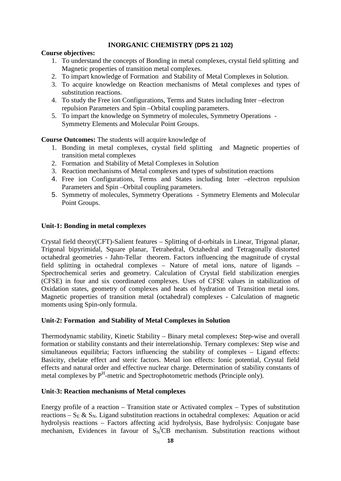# **INORGANIC CHEMISTRY (DPS 21 102)**

# **Course objectives:**

- 1. To understand the concepts of Bonding in metal complexes, crystal field splitting and Magnetic properties of transition metal complexes.
- 2. To impart knowledge of Formation and Stability of Metal Complexes in Solution.
- 3. To acquire knowledge on Reaction mechanisms of Metal complexes and types of substitution reactions.
- 4. To study the Free ion Configurations, Terms and States including Inter –electron repulsion Parameters and Spin –Orbital coupling parameters.
- 5. To impart the knowledge on Symmetry of molecules, Symmetry Operations Symmetry Elements and Molecular Point Groups.

**Course Outcomes:** The students will acquire knowledge of

- 1. Bonding in metal complexes, crystal field splitting and Magnetic properties of transition metal complexes
- 2. Formation and Stability of Metal Complexes in Solution
- 3. Reaction mechanisms of Metal complexes and types of substitution reactions
- 4. Free ion Configurations, Terms and States including Inter –electron repulsion Parameters and Spin –Orbital coupling parameters.
- 5. Symmetry of molecules, Symmetry Operations Symmetry Elements and Molecular Point Groups.

# **Unit-1: Bonding in metal complexes**

Crystal field theory(CFT)-Salient features – Splitting of d-orbitals in Linear, Trigonal planar, Trigonal bipyrimidal, Square planar, Tetrahedral, Octahedral and Tetragonally distorted octahedral geometries - Jahn-Tellar theorem. Factors influencing the magnitude of crystal field splitting in octahedral complexes – Nature of metal ions, nature of ligands – Spectrochemical series and geometry. Calculation of Crystal field stabilization energies (CFSE) in four and six coordinated complexes. Uses of CFSE values in stabilization of Oxidation states, geometry of complexes and heats of hydration of Transition metal ions. Magnetic properties of transition metal (octahedral) complexes - Calculation of magnetic moments using Spin-only formula.

# **Unit-2: Formation and Stability of Metal Complexes in Solution**

Thermodynamic stability, Kinetic Stability – Binary metal complexes**:** Step-wise and overall formation or stability constants and their interrelationship. Ternary complexes: Step wise and simultaneous equilibria; Factors influencing the stability of complexes – Ligand effects: Basicity, chelate effect and steric factors. Metal ion effects: Ionic potential, Crystal field effects and natural order and effective nuclear charge. Determination of stability constants of metal complexes by P<sup>H</sup>-metric and Spectrophotometric methods (Principle only).

# **Unit-3: Reaction mechanisms of Metal complexes**

Energy profile of a reaction – Transition state or Activated complex – Types of substitution reactions –  $S_E \& S_N$ . Ligand substitution reactions in octahedral complexes: Aquation or acid hydrolysis reactions – Factors affecting acid hydrolysis, Base hydrolysis: Conjugate base mechanism, Evidences in favour of  $S_N^ICB$  mechanism. Substitution reactions without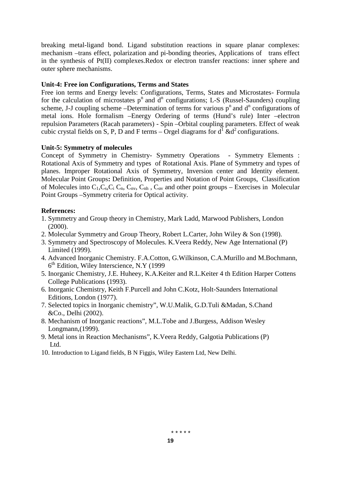breaking metal-ligand bond. Ligand substitution reactions in square planar complexes: mechanism –trans effect, polarization and pi-bonding theories, Applications of trans effect in the synthesis of Pt(II) complexes.Redox or electron transfer reactions: inner sphere and outer sphere mechanisms.

# **Unit-4: Free ion Configurations, Terms and States**

Free ion terms and Energy levels: Configurations, Terms, States and Microstates- Formula for the calculation of microstates  $p^n$  and  $d^n$  configurations; L-S (Russel-Saunders) coupling scheme, J-J coupling scheme –Determination of terms for various  $p<sup>n</sup>$  and  $d<sup>n</sup>$  configurations of metal ions. Hole formalism –Energy Ordering of terms (Hund's rule) Inter –electron repulsion Parameters (Racah parameters) - Spin –Orbital coupling parameters. Effect of weak cubic crystal fields on S, P, D and F terms – Orgel diagrams for  $d^1 \& d^2$  configurations.

### **Unit-5: Symmetry of molecules**

Concept of Symmetry in Chemistry- Symmetry Operations - Symmetry Elements : Rotational Axis of Symmetry and types of Rotational Axis. Plane of Symmetry and types of planes. Improper Rotational Axis of Symmetry, Inversion center and Identity element. Molecular Point Groups**:** Definition, Properties and Notation of Point Groups, Classification of Molecules into  $C_1, C_3, C_1, C_n, C_n, C_n$ , C<sub>v</sub> and other point groups – Exercises in Molecular Point Groups –Symmetry criteria for Optical activity.

### **References:**

- 1. Symmetry and Group theory in Chemistry, Mark Ladd, Marwood Publishers, London (2000).
- 2. Molecular Symmetry and Group Theory, Robert L.Carter, John Wiley & Son (1998).
- 3. Symmetry and Spectroscopy of Molecules. K.Veera Reddy, New Age International (P) Limited (1999).
- 4. Advanced Inorganic Chemistry. F.A.Cotton, G.Wilkinson, C.A.Murillo and M.Bochmann, 6 th Edition, Wiley Interscience, N.Y (1999
- 5. Inorganic Chemistry, J.E. Huheey, K.A.Keiter and R.L.Keiter 4 th Edition Harper Cottens College Publications (1993).
- 6. Inorganic Chemistry, Keith F.Purcell and John C.Kotz, Holt-Saunders International Editions, London (1977).
- 7. Selected topics in Inorganic chemistry", W.U.Malik, G.D.Tuli &Madan, S.Chand &Co., Delhi (2002).
- 8. Mechanism of Inorganic reactions", M.L.Tobe and J.Burgess, Addison Wesley Longmann,(1999).
- 9. Metal ions in Reaction Mechanisms", K.Veera Reddy, Galgotia Publications (P) Ltd.
- 10. Introduction to Ligand fields, B N Figgis, Wiley Eastern Ltd, New Delhi.

\* \* \* \* \*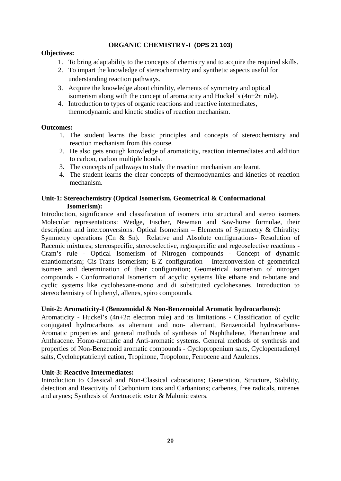# **ORGANIC CHEMISTRY-I (DPS 21 103)**

# **Objectives:**

- 1. To bring adaptability to the concepts of chemistry and to acquire the required skills.
- 2. To impart the knowledge of stereochemistry and synthetic aspects useful for understanding reaction pathways.
- 3. Acquire the knowledge about chirality, elements of symmetry and optical isomerism along with the concept of aromaticity and Huckel 's  $(4n+2 \text{ rule})$ .
- 4. Introduction to types of organic reactions and reactive intermediates, thermodynamic and kinetic studies of reaction mechanism.

# **Outcomes:**

- 1. The student learns the basic principles and concepts of stereochemistry and reaction mechanism from this course.
- 2. He also gets enough knowledge of aromaticity, reaction intermediates and addition to carbon, carbon multiple bonds.
- 3. The concepts of pathways to study the reaction mechanism are learnt.
- 4. The student learns the clear concepts of thermodynamics and kinetics of reaction mechanism.

# **Unit-1: Stereochemistry (Optical Isomerism, Geometrical & Conformational Isomerism):**

Introduction, significance and classification of isomers into structural and stereo isomers Molecular representations: Wedge, Fischer, Newman and Saw-horse formulae, their description and interconversions. Optical Isomerism – Elements of Symmetry & Chirality: Symmetry operations (Cn & Sn). Relative and Absolute configurations- Resolution of Racemic mixtures; stereospecific, stereoselective, regiospecific and regeoselective reactions - Cram's rule - Optical Isomerism of Nitrogen compounds - Concept of dynamic enantiomerism; Cis-Trans isomerism; E-Z configuration - Interconversion of geometrical isomers and determination of their configuration; Geometrical isomerism of nitrogen compounds - Conformational Isomerism of acyclic systems like ethane and n-butane and cyclic systems like cyclohexane-mono and di substituted cyclohexanes. Introduction to stereochemistry of biphenyl, allenes, spiro compounds.

# **Unit-2: Aromaticity-I (Benzenoidal & Non-Benzenoidal Aromatic hydrocarbons):**

Aromaticity - Huckel's  $(4n+2\pi)$  electron rule) and its limitations - Classification of cyclic conjugated hydrocarbons as alternant and non- alternant, Benzenoidal hydrocarbons- Aromatic properties and general methods of synthesis of Naphthalene, Phenanthrene and Anthracene. Homo-aromatic and Anti-aromatic systems. General methods of synthesis and properties of Non-Benzenoid aromatic compounds - Cyclopropenium salts, Cyclopentadienyl salts, Cycloheptatrienyl cation, Tropinone, Tropolone, Ferrocene and Azulenes.

# **Unit-3: Reactive Intermediates:**

Introduction to Classical and Non-Classical cabocations; Generation, Structure, Stability, detection and Reactivity of Carbonium ions and Carbanions; carbenes, free radicals, nitrenes and arynes; Synthesis of Acetoacetic ester & Malonic esters.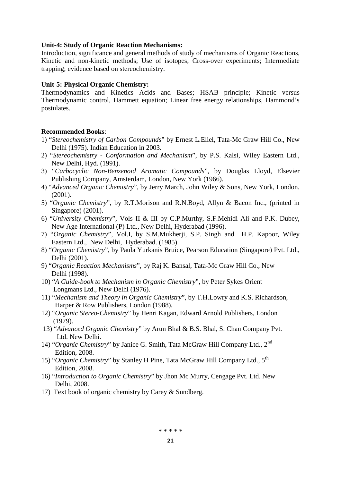### **Unit-4: Study of Organic Reaction Mechanisms:**

Introduction, significance and general methods of study of mechanisms of Organic Reactions, Kinetic and non-kinetic methods; Use of isotopes; Cross-over experiments; Intermediate trapping; evidence based on stereochemistry.

### **Unit-5: Physical Organic Chemistry:**

Thermodynamics and Kinetics - Acids and Bases; HSAB principle; Kinetic versus Thermodynamic control, Hammett equation; Linear free energy relationships, Hammond's postulates.

### **Recommended Books**:

- 1) "*Stereochemistry of Carbon Compounds*" by Ernest L.Eliel, Tata-Mc Graw Hill Co., New Delhi (1975). Indian Education in 2003.
- 2) "*Stereochemistry - Conformation and Mechanism*", by P.S. Kalsi, Wiley Eastern Ltd., New Delhi, Hyd. (1991).
- 3) "*Carbocyclic Non-Benzenoid Aromatic Compounds*", by Douglas Lloyd, Elsevier Publishing Company, Amsterdam, London, New York (1966).
- 4) "*Advanced Organic Chemistry*", by Jerry March, John Wiley & Sons, New York, London. (2001).
- 5) "*Organic Chemistry*", by R.T.Morison and R.N.Boyd, Allyn & Bacon Inc., (printed in Singapore) (2001).
- 6) "*University Chemistry*", Vols II & III by C.P.Murthy, S.F.Mehidi Ali and P.K. Dubey, New Age International (P) Ltd., New Delhi, Hyderabad (1996).
- 7) "*Organic Chemistry*", Vol.I, by S.M.Mukherji, S.P. Singh and H.P. Kapoor, Wiley Eastern Ltd., New Delhi, Hyderabad. (1985).
- 8) "*Organic Chemistry*", by Paula Yurkanis Bruice, Pearson Education (Singapore) Pvt. Ltd., Delhi (2001).
- 9) "*Organic Reaction Mechanisms*", by Raj K. Bansal, Tata-Mc Graw Hill Co., New Delhi (1998).
- 10) "*A Guide-book to Mechanism in Organic Chemistry*", by Peter Sykes Orient Longmans Ltd., New Delhi (1976).
- 11) "*Mechanism and Theory in Organic Chemistry*", by T.H.Lowry and K.S. Richardson, Harper & Row Publishers, London (1988).
- 12) "*Organic Stereo-Chemistry*" by Henri Kagan, Edward Arnold Publishers, London (1979).
- 13) "*Advanced Organic Chemistry*" by Arun Bhal & B.S. Bhal, S. Chan Company Pvt. Ltd. New Delhi.
- 14) "*Organic Chemistry*" by Janice G. Smith, Tata McGraw Hill Company Ltd., 2nd Edition, 2008.
- 15) "Organic Chemistry" by Stanley H Pine, Tata McGraw Hill Company Ltd., 5<sup>th</sup> Edition, 2008.
- 16) "*Introduction to Organic Chemistry*" by Jhon Mc Murry, Cengage Pvt. Ltd. New Delhi, 2008.
- 17) Text book of organic chemistry by Carey & Sundberg.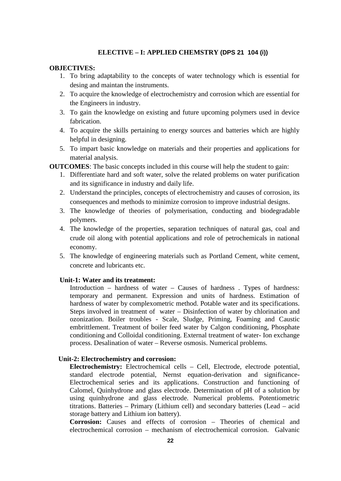### **ELECTIVE – I: APPLIED CHEMSTRY (DPS 21 104 (i))**

# **OBJECTIVES:**

- 1. To bring adaptability to the concepts of water technology which is essential for desing and maintan the instruments.
- 2. To acquire the knowledge of electrochemistry and corrosion which are essential for the Engineers in industry.
- 3. To gain the knowledge on existing and future upcoming polymers used in device fabrication.
- 4. To acquire the skills pertaining to energy sources and batteries which are highly helpful in designing.
- 5. To impart basic knowledge on materials and their properties and applications for material analysis.

**OUTCOMES**: The basic concepts included in this course will help the student to gain:

- 1. Differentiate hard and soft water, solve the related problems on water purification and its significance in industry and daily life.
- 2. Understand the principles, concepts of electrochemistry and causes of corrosion, its consequences and methods to minimize corrosion to improve industrial designs.
- 3. The knowledge of theories of polymerisation, conducting and biodegradable polymers.
- 4. The knowledge of the properties, separation techniques of natural gas, coal and crude oil along with potential applications and role of petrochemicals in national economy.
- 5. The knowledge of engineering materials such as Portland Cement, white cement, concrete and lubricants etc.

# **Unit-1: Water and its treatment:**

Introduction – hardness of water – Causes of hardness . Types of hardness: temporary and permanent. Expression and units of hardness. Estimation of hardness of water by complexometric method. Potable water and its specifications. Steps involved in treatment of water – Disinfection of water by chlorination and ozonization. Boiler troubles - Scale, Sludge, Priming, Foaming and Caustic embrittlement. Treatment of boiler feed water by Calgon conditioning, Phosphate conditioning and Colloidal conditioning. External treatment of water- Ion exchange process. Desalination of water – Reverse osmosis. Numerical problems.

#### **Unit-2: Electrochemistry and corrosion:**

**Electrochemistry:** Electrochemical cells – Cell, Electrode, electrode potential, standard electrode potential, Nernst equation-derivation and significance- Electrochemical series and its applications. Construction and functioning of Calomel, Quinhydrone and glass electrode. Determination of pH of a solution by using quinhydrone and glass electrode. Numerical problems. Potentiometric titrations. Batteries – Primary (Lithium cell) and secondary batteries (Lead – acid storage battery and Lithium ion battery).

**Corrosion:** Causes and effects of corrosion – Theories of chemical and electrochemical corrosion – mechanism of electrochemical corrosion. Galvanic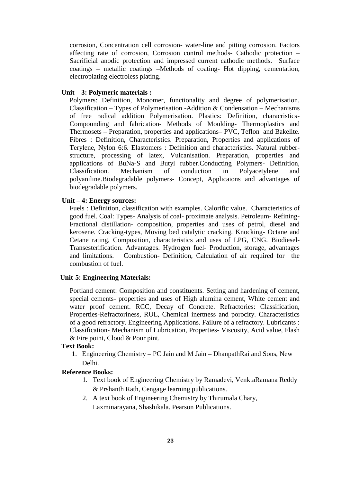corrosion, Concentration cell corrosion- water-line and pitting corrosion. Factors affecting rate of corrosion, Corrosion control methods- Cathodic protection – Sacrificial anodic protection and impressed current cathodic methods. Surface coatings – metallic coatings –Methods of coating- Hot dipping, cementation, electroplating electroless plating.

#### **Unit – 3: Polymeric materials :**

Polymers: Definition, Monomer, functionality and degree of polymerisation. Classification – Types of Polymerisation -Addition & Condensation – Mechanisms of free radical addition Polymerisation. Plastics: Definition, characristics- Compounding and fabrication- Methods of Moulding- Thermoplastics and Thermosets – Preparation, properties and applications– PVC, Teflon and Bakelite. Fibres : Definition, Characteristics. Preparation, Properties and applications of Terylene, Nylon 6:6. Elastomers : Definition and characteristics. Natural rubber structure, processing of latex, Vulcanisation. Preparation, properties and applications of BuNa-S and Butyl rubber.Conducting Polymers- Definition, Classification. Mechanism of conduction in Polyacetylene and polyaniline.Biodegradable polymers- Concept, Applicaions and advantages of biodegradable polymers.

#### **Unit – 4: Energy sources:**

Fuels : Definition, classification with examples. Calorific value. Characteristics of good fuel. Coal: Types- Analysis of coal- proximate analysis. Petroleum- Refining- Fractional distillation- composition, properties and uses of petrol, diesel and kerosene. Cracking-types, Moving bed catalytic cracking. Knocking- Octane and Cetane rating, Composition, characteristics and uses of LPG, CNG. Biodiesel- Transesterification. Advantages. Hydrogen fuel- Production, storage, advantages and limitations. Combustion- Definition, Calculation of air required for the combustion of fuel.

#### **Unit-5: Engineering Materials:**

Portland cement: Composition and constituents. Setting and hardening of cement, special cements- properties and uses of High alumina cement, White cement and water proof cement. RCC, Decay of Concrete. Refractories: Classification, Properties-Refractoriness, RUL, Chemical inertness and porocity. Characteristics of a good refractory. Engineering Applications. Failure of a refractory. Lubricants : Classification- Mechanism of Lubrication, Properties- Viscosity, Acid value, Flash & Fire point, Cloud & Pour pint.

#### **Text Book:**

1. Engineering Chemistry – PC Jain and M Jain – DhanpathRai and Sons, New Delhi.

#### **Reference Books:**

- 1. Text book of Engineering Chemistry by Ramadevi, VenktaRamana Reddy & Prshanth Rath, Cengage learning publications.
- 2. A text book of Engineering Chemistry by Thirumala Chary, Laxminarayana, Shashikala. Pearson Publications.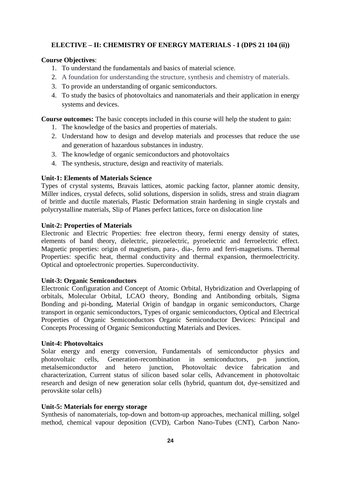# **ELECTIVE – II: CHEMISTRY OF ENERGY MATERIALS - I(DPS 21 104 (ii))**

# **Course Objectives**:

- 1. To understand the fundamentals and basics of material science.
- 2. A foundation for understanding the structure, synthesis and chemistry of materials.
- 3. To provide an understanding of organic semiconductors.
- 4. To study the basics of photovoltaics and nanomaterials and their application in energy systems and devices.

**Course outcomes:** The basic concepts included in this course will help the student to gain:

- 1. The knowledge of the basics and properties of materials.
- 2. Understand how to design and develop materials and processes that reduce the use and generation of hazardous substances in industry.
- 3. The knowledge of organic semiconductors and photovoltaics
- 4. The synthesis, structure, design and reactivity of materials.

#### **Unit-1: Elements of Materials Science**

Types of crystal systems, Bravais lattices, atomic packing factor, planner atomic density, Miller indices, crystal defects, solid solutions, dispersion in solids, stress and strain diagram of brittle and ductile materials, Plastic Deformation strain hardening in single crystals and polycrystalline materials, Slip of Planes perfect lattices, force on dislocation line

### **Unit-2: Properties of Materials**

Electronic and Electric Properties: free electron theory, fermi energy density of states, elements of band theory, dielectric, piezoelectric, pyroelectric and ferroelectric effect. Magnetic properties: origin of magnetism, para-, dia-, ferro and ferri-magnetisms. Thermal Properties: specific heat, thermal conductivity and thermal expansion, thermoelectricity. Optical and optoelectronic properties. Superconductivity.

#### **Unit-3: Organic Semiconductors**

Electronic Configuration and Concept of Atomic Orbital, Hybridization and Overlapping of orbitals, Molecular Orbital, LCAO theory, Bonding and Antibonding orbitals, Sigma Bonding and pi-bonding, Material Origin of bandgap in organic semiconductors, Charge transport in organic semiconductors, Types of organic semiconductors, Optical and Electrical Properties of Organic Semiconductors Organic Semiconductor Devices: Principal and Concepts Processing of Organic Semiconducting Materials and Devices.

#### **Unit-4: Photovoltaics**

Solar energy and energy conversion, Fundamentals of semiconductor physics and photovoltaic cells, Generation-recombination in semiconductors, p-n junction, metalsemiconductor and hetero junction, Photovoltaic device fabrication and characterization, Current status of silicon based solar cells, Advancement in photovoltaic research and design of new generation solar cells (hybrid, quantum dot, dye-sensitized and perovskite solar cells)

#### **Unit-5: Materials for energy storage**

Synthesis of nanomaterials, top-down and bottom-up approaches, mechanical milling, solgel method, chemical vapour deposition (CVD), Carbon Nano-Tubes (CNT), Carbon Nano-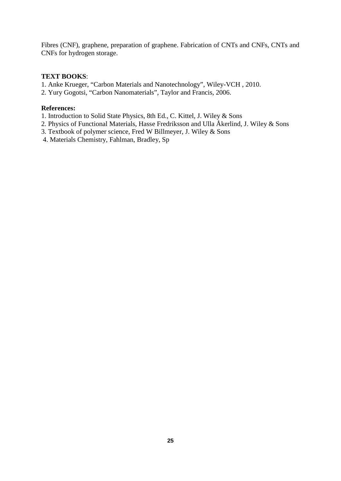Fibres (CNF), graphene, preparation of graphene. Fabrication of CNTs and CNFs, CNTs and CNFs for hydrogen storage.

### **TEXT BOOKS**:

- 1. Anke Krueger, "Carbon Materials and Nanotechnology", Wiley-VCH , 2010.
- 2. Yury Gogotsi, "Carbon Nanomaterials", Taylor and Francis, 2006.

# **References:**

- 1. Introduction to Solid State Physics, 8th Ed., C. Kittel, J. Wiley & Sons
- 2. Physics of Functional Materials, Hasse Fredriksson and Ulla Åkerlind, J. Wiley & Sons
- 3. Textbook of polymer science, Fred W Billmeyer, J. Wiley & Sons
- 4. Materials Chemistry, Fahlman, Bradley, Sp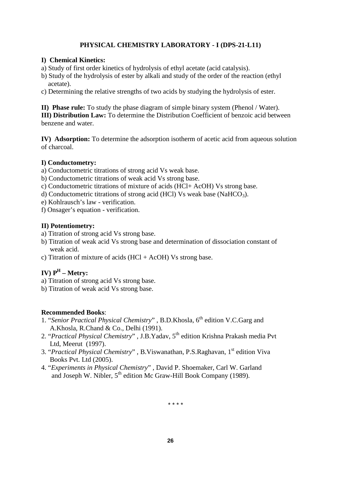# **PHYSICAL CHEMISTRY LABORATORY - I (DPS-21-L11)**

# **I) Chemical Kinetics:**

- a) Study of first order kinetics of hydrolysis of ethyl acetate (acid catalysis).
- b) Study of the hydrolysis of ester by alkali and study of the order of the reaction (ethyl acetate).
- c) Determining the relative strengths of two acids by studying the hydrolysis of ester.

**II) Phase rule:** To study the phase diagram of simple binary system (Phenol / Water). **III) Distribution Law:** To determine the Distribution Coefficient of benzoic acid between benzene and water.

**IV) Adsorption:** To determine the adsorption isotherm of acetic acid from aqueous solution of charcoal.

# **I) Conductometry:**

a) Conductometric titrations of strong acid Vs weak base.

- b) Conductometric titrations of weak acid Vs strong base.
- c) Conductometric titrations of mixture of acids (HCl+ AcOH) Vs strong base.
- d) Conductometric titrations of strong acid (HCl) Vs weak base (NaHCO<sub>3</sub>).
- e) Kohlrausch's law verification.

f) Onsager's equation - verification.

# **II) Potentiometry:**

- a) Titration of strong acid Vs strong base.
- b) Titration of weak acid Vs strong base and determination of dissociation constant of weak acid.
- c) Titration of mixture of acids  $(HCl + AcOH)$  Vs strong base.

# **IV) P<sup>H</sup> – Metry:**

- a) Titration of strong acid Vs strong base.
- b) Titration of weak acid Vs strong base.

# **Recommended Books**:

- 1. "Senior Practical Physical Chemistry", B.D.Khosla, 6<sup>th</sup> edition V.C.Garg and A.Khosla, R.Chand & Co., Delhi (1991).
- 2. "*Practical Physical Chemistry*", J.B.Yadav, 5<sup>th</sup> edition Krishna Prakash media Pvt Ltd, Meerut (1997).
- 3. "*Practical Physical Chemistry*" , B.Viswanathan, P.S.Raghavan, 1 st edition Viva Books Pvt. Ltd (2005).
- 4. "*Experiments in Physical Chemistry*" , David P. Shoemaker, Carl W. Garland and Joseph W. Nibler, 5<sup>th</sup> edition Mc Graw-Hill Book Company (1989).

\* \* \* \*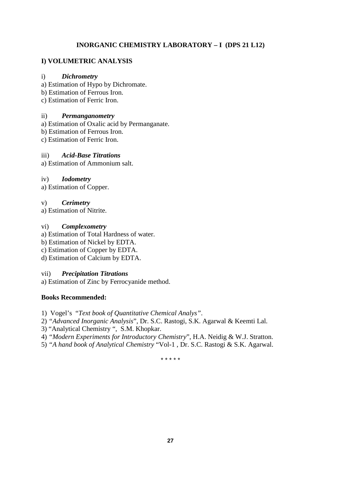# **INORGANIC CHEMISTRY LABORATORY – I (DPS 21 L12)**

# **I) VOLUMETRIC ANALYSIS**

### i) *Dichrometry*

- a) Estimation of Hypo by Dichromate.
- b) Estimation of Ferrous Iron.
- c) Estimation of Ferric Iron.

### ii) *Permanganometry*

- a) Estimation of Oxalic acid by Permanganate.
- b) Estimation of Ferrous Iron.
- c) Estimation of Ferric Iron.

# iii) *Acid-Base Titrations*

a) Estimation of Ammonium salt.

# iv) *Iodometry*

a) Estimation of Copper.

### v) *Cerimetry*

a) Estimation of Nitrite.

### vi) *Complexometry*

- a) Estimation of Total Hardness of water.
- b) Estimation of Nickel by EDTA.
- c) Estimation of Copper by EDTA.
- d) Estimation of Calcium by EDTA.

# vii) *Precipitation Titrations*

a) Estimation of Zinc by Ferrocyanide method.

# **Books Recommended:**

- 1) Vogel's "*Text book of Quantitative Chemical Analys"*.
- 2) *"Advanced Inorganic Analysis*", Dr. S.C. Rastogi, S.K. Agarwal & Keemti Lal.
- 3) "Analytical Chemistry ", S.M. Khopkar.
- 4) *"Modern Experiments for Introductory Chemistry*", H.A. Neidig & W.J. Stratton.
- 5) *"A hand book of Analytical Chemistry* "Vol-1 , Dr. S.C. Rastogi & S.K. Agarwal.

\* \* \* \* \*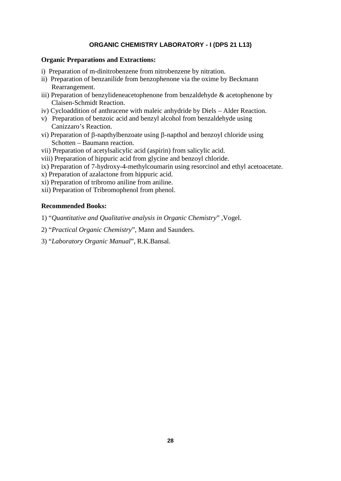# **ORGANIC CHEMISTRY LABORATORY - I (DPS 21 L13)**

### **Organic Preparations and Extractions:**

- i) Preparation of m-dinitrobenzene from nitrobenzene by nitration.
- ii) Preparation of benzanilide from benzophenone via the oxime by Beckmann Rearrangement.
- iii) Preparation of benzylideneacetophenone from benzaldehyde & acetophenone by Claisen-Schmidt Reaction.
- iv) Cycloaddition of anthracene with maleic anhydride by Diels Alder Reaction.
- v) Preparation of benzoic acid and benzyl alcohol from benzaldehyde using Canizzaro's Reaction.
- vi) Preparation of  $\beta$ -napthylbenzoate using  $\beta$ -napthol and benzoyl chloride using Schotten – Baumann reaction.
- vii) Preparation of acetylsalicylic acid (aspirin) from salicylic acid.
- viii) Preparation of hippuric acid from glycine and benzoyl chloride.
- ix) Preparation of 7-hydroxy-4-methylcoumarin using resorcinol and ethyl acetoacetate.
- x) Preparation of azalactone from hippuric acid.
- xi) Preparation of tribromo aniline from aniline.
- xii) Preparation of Tribromophenol from phenol.

### **Recommended Books:**

- 1) "*Quantitative and Qualitative analysis in Organic Chemistry*" ,Vogel.
- 2) "*Practical Organic Chemistry*", Mann and Saunders.
- 3) "*Laboratory Organic Manual*", R.K.Bansal.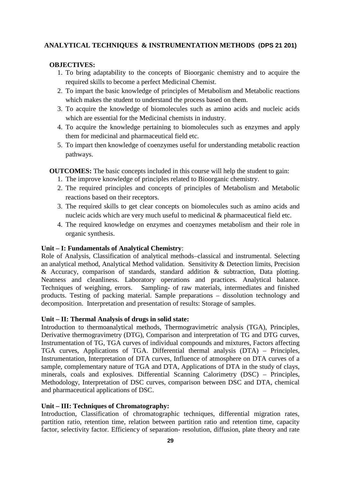# **ANALYTICAL TECHNIQUES & INSTRUMENTATION METHODS (DPS 21 201)**

### **OBJECTIVES:**

- 1. To bring adaptability to the concepts of Bioorganic chemistry and to acquire the required skills to become a perfect Medicinal Chemist.
- 2. To impart the basic knowledge of principles of Metabolism and Metabolic reactions which makes the student to understand the process based on them.
- 3. To acquire the knowledge of biomolecules such as amino acids and nucleic acids which are essential for the Medicinal chemists in industry.
- 4. To acquire the knowledge pertaining to biomolecules such as enzymes and apply them for medicinal and pharmaceutical field etc.
- 5. To impart then knowledge of coenzymes useful for understanding metabolic reaction pathways.

**OUTCOMES:** The basic concepts included in this course will help the student to gain:

- 1. The improve knowledge of principles related to Bioorganic chemistry.
- 2. The required principles and concepts of principles of Metabolism and Metabolic reactions based on their receptors.
- 3. The required skills to get clear concepts on biomolecules such as amino acids and nucleic acids which are very much useful to medicinal & pharmaceutical field etc.
- 4. The required knowledge on enzymes and coenzymes metabolism and their role in organic synthesis.

#### **Unit – I: Fundamentals of Analytical Chemistry**:

Role of Analysis, Classification of analytical methods–classical and instrumental. Selecting an analytical method, Analytical Method validation. Sensitivity & Detection limits, Precision & Accuracy, comparison of standards, standard addition & subtraction, Data plotting. Neatness and cleanliness. Laboratory operations and practices. Analytical balance. Techniques of weighing, errors. Sampling- of raw materials, intermediates and finished products. Testing of packing material. Sample preparations – dissolution technology and decomposition. Interpretation and presentation of results: Storage of samples.

#### **Unit – II: Thermal Analysis of drugs in solid state:**

Introduction to thermoanalytical methods, Thermogravimetric analysis (TGA), Principles, Derivative thermogravimetry (DTG), Comparison and interpretation of TG and DTG curves, Instrumentation of TG, TGA curves of individual compounds and mixtures, Factors affecting TGA curves, Applications of TGA. Differential thermal analysis (DTA) – Principles, Instrumentation, Interpretation of DTA curves, Influence of atmosphere on DTA curves of a sample, complementary nature of TGA and DTA, Applications of DTA in the study of clays, minerals, coals and explosives. Differential Scanning Calorimetry (DSC) – Principles, Methodology, Interpretation of DSC curves, comparison between DSC and DTA, chemical and pharmaceutical applications of DSC.

#### **Unit – III: Techniques of Chromatography:**

Introduction, Classification of chromatographic techniques, differential migration rates, partition ratio, retention time, relation between partition ratio and retention time, capacity factor, selectivity factor. Efficiency of separation- resolution, diffusion, plate theory and rate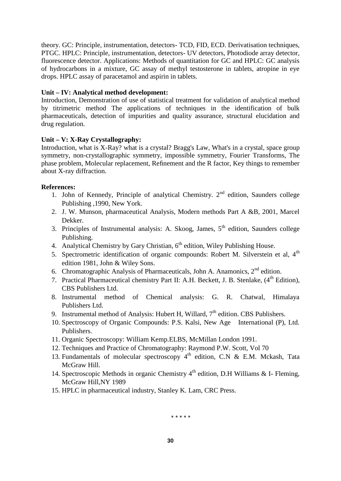theory. GC: Principle, instrumentation, detectors- TCD, FID, ECD. Derivatisation techniques, PTGC. HPLC: Principle, instrumentation, detectors- UV detectors, Photodiode array detector, fluorescence detector. Applications: Methods of quantitation for GC and HPLC: GC analysis of hydrocarbons in a mixture, GC assay of methyl testosterone in tablets, atropine in eye drops. HPLC assay of paracetamol and aspirin in tablets.

# **Unit – IV: Analytical method development:**

Introduction, Demonstration of use of statistical treatment for validation of analytical method by titrimetric method The applications of techniques in the identification of bulk pharmaceuticals, detection of impurities and quality assurance, structural elucidation and drug regulation.

# **Unit – V: X-Ray Crystallography:**

Introduction, what is X-Ray? what is a crystal? Bragg's Law, What's in a crystal, space group symmetry, non-crystallographic symmetry, impossible symmetry, Fourier Transforms, The phase problem, Molecular replacement, Refinement and the R factor, Key things to remember about X-ray diffraction.

# **References:**

- 1. John of Kennedy, Principle of analytical Chemistry.  $2<sup>nd</sup>$  edition, Saunders college Publishing ,1990, New York.
- 2. J. W. Munson, pharmaceutical Analysis, Modern methods Part A &B, 2001, Marcel Dekker.
- 3. Principles of Instrumental analysis: A. Skoog, James,  $5<sup>th</sup>$  edition, Saunders college Publishing.
- 4. Analytical Chemistry by Gary Christian, 6<sup>th</sup> edition, Wiley Publishing House.
- 5. Spectrometric identification of organic compounds: Robert M. Silverstein et al.  $4<sup>th</sup>$ edition 1981, John & Wiley Sons.
- 6. Chromatographic Analysis of Pharmaceuticals, John A. Anamonics,  $2<sup>nd</sup>$  edition.
- 7. Practical Pharmaceutical chemistry Part II: A.H. Beckett, J. B. Stenlake,  $(4<sup>th</sup> Edition)$ , CBS Publishers Ltd.
- 8. Instrumental method of Chemical analysis: G. R. Chatwal, Himalaya Publishers Ltd.
- 9. Instrumental method of Analysis: Hubert H, Willard,  $7<sup>th</sup>$  edition. CBS Publishers.
- 10. Spectroscopy of Organic Compounds: P.S. Kalsi, New Age International (P), Ltd. Publishers.
- 11. Organic Spectroscopy: William Kemp.ELBS, McMillan London 1991.
- 12. Techniques and Practice of Chromatography: Raymond P.W. Scott, Vol 70
- 13. Fundamentals of molecular spectroscopy  $4<sup>th</sup>$  edition, C.N & E.M. Mckash, Tata McGraw Hill.
- 14. Spectroscopic Methods in organic Chemistry  $4<sup>th</sup>$  edition, D.H Williams & I- Fleming, McGraw Hill,NY 1989
- 15. HPLC in pharmaceutical industry, Stanley K. Lam, CRC Press.

\* \* \* \* \*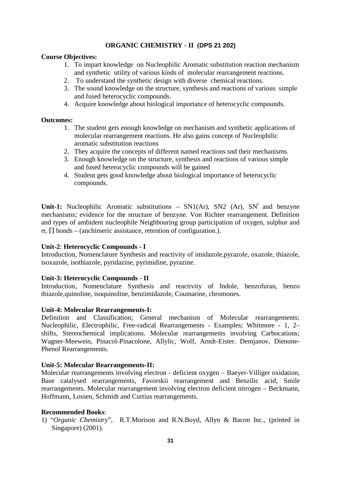# **ORGANIC CHEMISTRY - II (DPS 21 202)**

### **Course Objectives:**

- 1. To impart knowledge on Nucleophilic Aromatic substitution reaction mechanism and synthetic utility of various kinds of molecular rearrangement reactions.
- 2. To understand the synthetic design with diverse chemical reactions.
- 3. The sound knowledge on the structure, synthesis and reactions of various simple and fused heterocyclic compounds.
- 4. Acquire knowledge about biological importance of heterocyclic compounds.

#### **Outcomes:**

- 1. The student gets enough knowledge on mechanism and synthetic applications of molecular rearrangement reactions. He also gains concept of Nucleophilic aromatic substitution reactions
- 2. They acquire the concepts of different named reactions snd their mechanisms.
- 3. Enough knowledge on the structure, synthesis and reactions of various simple and fused heterocyclic compounds will be gained
- 4. Student gets good knowledge about biological importance of heterocyclic compounds.

**Unit-1:** Nucleophilic Aromatic substitutions –  $SN1(Ar)$ ,  $SN2(Ar)$ ,  $SN<sup>i</sup>$  and benzyne mechanisms; evidence for the structure of benzyne. Von Richter rearrangement. Definition and types of ambident nucleophile Neighbouring group participation of oxygen, sulphur and  $\sigma$ ,  $\Box$  bonds – (anchimeric assistance, retention of configuration.).

#### **Unit-2**: **Heterocyclic Compounds - I**

Introduction, Nomenclature Synthesis and reactivity of imidazole, pyrazole, oxazole, thiazole, isoxazole, isothiazole, pyridazine, pyrimidine, pyrazine.

#### **Unit-3: Heterocyclic Compounds - II**

Introduction, Nomenclature Synthesis and reactivity of Indole, benzofuran, benzo thiazole,quinoline, isoquinoline, benzimidazole, Coumarine, chromones.

#### **Unit-4: Molecular Rearrangements-I:**

Definition and Classification; General mechanism of Molecular rearrangements; Nucleophilic, Electrophilic, Free-radical Rearrangements - Examples; Whitmore -1, 2– shifts, Stereochemical implications. Molecular rearrangements involving Carbocations; Wagner-Meewein, Pinacol-Pinacolone, Allylic, Wolf, Arndt-Eister. Demjanov, Dienone- Phenol Rearrangements.

# **Unit-5: Molecular Rearrangements-II:**

Molecular rearrangements involving electron - deficient oxygen – Baeyer-Villiger oxidation, Base catalysed rearrangements, Favorskii rearrangement and Benzilic acid, Smile rearrangements. Molecular rearrangement involving electron deficient nitrogen – Beckmann, Hoffmann, Lossen, Schmidt and Curtius rearrangements.

#### **Recommended Books**:

1) "*Organic Chemistry*", R.T.Morison and R.N.Boyd, Allyn & Bacon Inc., (printed in Singapore) (2001).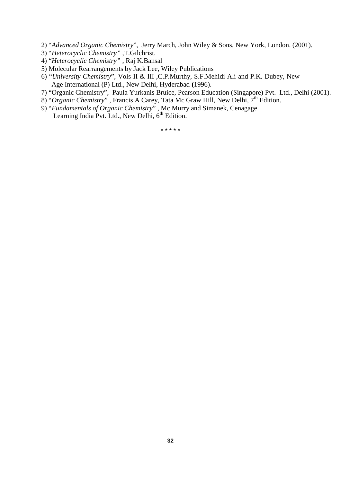- 2) "*Advanced Organic Chemistry*", Jerry March, John Wiley & Sons, New York, London. (2001).
- 3) "*Heterocyclic Chemistry"* ,T.Gilchrist.
- 4) "*Heterocyclic Chemistry"* , Raj K.Bansal
- 5) Molecular Rearrangements by Jack Lee, Wiley Publications
- 6) "*University Chemistry*", Vols II & III ,C.P.Murthy, S.F.Mehidi Ali and P.K. Dubey, New Age International (P) Ltd., New Delhi, Hyderabad **(**1996).
- 7) "Organic Chemistry", Paula Yurkanis Bruice, Pearson Education (Singapore) Pvt. Ltd., Delhi (2001).
- 8) "Organic Chemistry", Francis A Carey, Tata Mc Graw Hill, New Delhi, 7<sup>th</sup> Edition.
- 9) "*Fundamentals of Organic Chemistry*" , Mc Murry and Simanek, Cenagage Learning India Pvt. Ltd., New Delhi, 6<sup>th</sup> Edition.

\* \* \* \* \*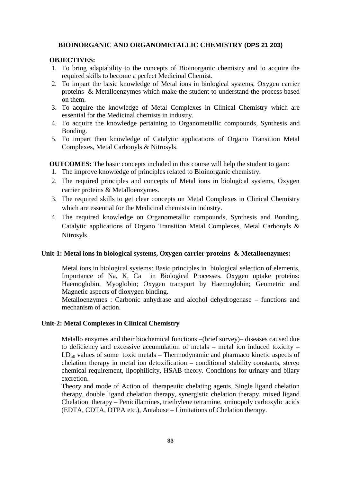#### **BIOINORGANIC AND ORGANOMETALLIC CHEMISTRY (DPS 21 203)**

### **OBJECTIVES:**

- 1. To bring adaptability to the concepts of Bioinorganic chemistry and to acquire the required skills to become a perfect Medicinal Chemist.
- 2. To impart the basic knowledge of Metal ions in biological systems, Oxygen carrier proteins & Metalloenzymes which make the student to understand the process based on them.
- 3. To acquire the knowledge of Metal Complexes in Clinical Chemistry which are essential for the Medicinal chemists in industry.
- 4. To acquire the knowledge pertaining to Organometallic compounds, Synthesis and Bonding.
- 5. To impart then knowledge of Catalytic applications of Organo Transition Metal Complexes, Metal Carbonyls & Nitrosyls.

**OUTCOMES:** The basic concepts included in this course will help the student to gain:

- 1. The improve knowledge of principles related to Bioinorganic chemistry.
- 2. The required principles and concepts of Metal ions in biological systems, Oxygen carrier proteins & Metalloenzymes.
- 3. The required skills to get clear concepts on Metal Complexes in Clinical Chemistry which are essential for the Medicinal chemists in industry.
- 4. The required knowledge on Organometallic compounds, Synthesis and Bonding, Catalytic applications of Organo Transition Metal Complexes, Metal Carbonyls & Nitrosyls.

# **Unit-1: Metal ions in biological systems, Oxygen carrier proteins & Metalloenzymes:**

Metal ions in biological systems: Basic principles in biological selection of elements, Importance of Na, K, Ca in Biological Processes. Oxygen uptake proteins: Haemoglobin, Myoglobin; Oxygen transport by Haemoglobin; Geometric and Magnetic aspects of dioxygen binding.

Metalloenzymes : Carbonic anhydrase and alcohol dehydrogenase – functions and mechanism of action.

#### **Unit-2: Metal Complexes in Clinical Chemistry**

Metallo enzymes and their biochemical functions –(brief survey)– diseases caused due to deficiency and excessive accumulation of metals – metal ion induced toxicity –  $LD_{50}$  values of some toxic metals – Thermodynamic and pharmaco kinetic aspects of chelation therapy in metal ion detoxification – conditional stability constants, stereo chemical requirement, lipophilicity, HSAB theory. Conditions for urinary and bilary excretion.

Theory and mode of Action of therapeutic chelating agents, Single ligand chelation therapy, double ligand chelation therapy, synergistic chelation therapy, mixed ligand Chelation therapy – Penicillamines, triethylene tetramine, aminopoly carboxylic acids (EDTA, CDTA, DTPA etc.), Antabuse – Limitations of Chelation therapy.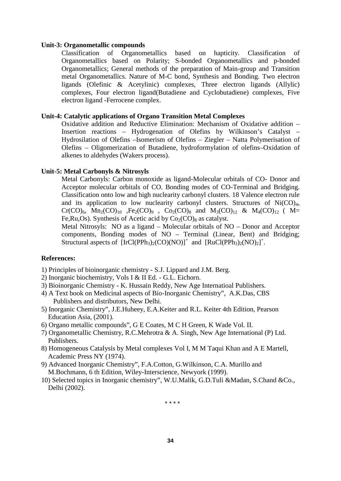#### **Unit-3: Organometallic compounds**

Classification of Organometallics based on hapticity. Classification of Organometallics based on Polarity; S-bonded Organometallics and p-bonded Organometallics; General methods of the preparation of Main-group and Transition metal Organometallics. Nature of M-C bond, Synthesis and Bonding. Two electron ligands (Olefinic & Acetylinic) complexes, Three electron ligands (Allylic) complexes, Four electron ligand(Butadiene and Cyclobutadiene) complexes, Five electron ligand -Ferrocene complex.

# **Unit-4: Catalytic applications of Organo Transition Metal Complexes**

Oxidative addition and Reductive Elimination: Mechanism of Oxidative addition – Insertion reactions – Hydrogenation of Olefins by Wilkinson's Catalyst – Hydrosilation of Olefins –Isomerism of Olefins – Ziegler – Natta Polymerisation of Olefins – Oligomerization of Butadiene, hydroformylation of olefins–Oxidation of alkenes to aldehydes (Wakers process).

#### **Unit-5: Metal Carbonyls & Nitrosyls**

Metal Carbonyls: Carbon monoxide as ligand-Molecular orbitals of CO- Donor and Acceptor molecular orbitals of CO. Bonding modes of CO-Terminal and Bridging. Classification onto low and high nuclearity carbonyl clusters. 18 Valence electron rule and its application to low nuclearity carbonyl clusters. Structures of  $Ni(CO)_4$ ,  $Cr(CO)_6$ ,  $Mn_2(CO)_{10}$ ,  $Fe_2(CO)_9$ ,  $Co_2(CO)_8$  and  $M_3(CO)_{12}$  &  $M_4(CO)_{12}$  ( M= Fe, Ru, Os). Synthesis of Acetic acid by  $Co_2(CO)_8$  as catalyst.

Metal Nitrosyls: NO as a ligand – Molecular orbitals of NO – Donor and Acceptor components, Bonding modes of NO – Terminal (Linear, Bent) and Bridging; Structural aspects of  $[IrCl(PPh<sub>3</sub>)<sub>2</sub>(CO)(NO)]<sup>+</sup>$  and  $[RuCl(PPh<sub>3</sub>)<sub>2</sub>(NO)<sub>2</sub>]<sup>+</sup>$ .

#### **References:**

- 1) Principles of bioinorganic chemistry S.J. Lippard and J.M. Berg.
- 2) Inorganic biochemistry, Vols I & II Ed. G.L. Eichorn.
- 3) Bioinorganic Chemistry K. Hussain Reddy, New Age Internatioal Publishers.
- 4) A Text book on Medicinal aspects of Bio-Inorganic Chemistry", A.K.Das, CBS Publishers and distributors, New Delhi.
- 5) Inorganic Chemistry", J.E.Huheey, E.A.Keiter and R.L. Keiter 4th Edition, Pearson Education Asia, (2001).
- 6) Organo metallic compounds", G E Coates, M C H Green, K Wade Vol. II.
- 7) Organometallic Chemistry, R.C.Mehrotra & A. Singh, New Age International (P) Ltd. Publishers.
- 8) Homogeneous Catalysis by Metal complexes Vol I, M M Taqui Khan and A E Martell, Academic Press NY (1974).
- 9) Advanced Inorganic Chemistry", F.A.Cotton, G.Wilkinson, C.A. Murillo and M.Bochmann, 6 th Edition, Wiley-Interscience, Newyork (1999).
- 10) Selected topics in Inorganic chemistry", W.U.Malik, G.D.Tuli &Madan, S.Chand &Co., Delhi (2002).

\* \* \* \*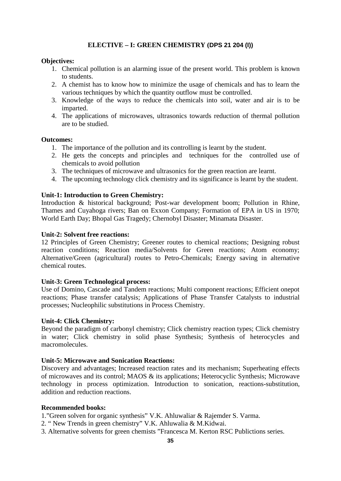# **ELECTIVE – I: GREEN CHEMISTRY (DPS 21 204 (I))**

### **Objectives:**

- 1. Chemical pollution is an alarming issue of the present world. This problem is known to students.
- 2. A chemist has to know how to minimize the usage of chemicals and has to learn the various techniques by which the quantity outflow must be controlled.
- 3. Knowledge of the ways to reduce the chemicals into soil, water and air is to be imparted.
- 4. The applications of microwaves, ultrasonics towards reduction of thermal pollution are to be studied.

#### **Outcomes:**

- 1. The importance of the pollution and its controlling is learnt by the student.
- 2. He gets the concepts and principles and techniques for the controlled use of chemicals to avoid pollution
- 3. The techniques of microwave and ultrasonics for the green reaction are learnt.
- 4. The upcoming technology click chemistry and its significance is learnt by the student.

### **Unit-1: Introduction to Green Chemistry:**

Introduction & historical background; Post-war development boom; Pollution in Rhine, Thames and Cuyahoga rivers; Ban on Exxon Company; Formation of EPA in US in 1970; World Earth Day; Bhopal Gas Tragedy; Chernobyl Disaster; Minamata Disaster.

### **Unit-2: Solvent free reactions:**

12 Principles of Green Chemistry; Greener routes to chemical reactions; Designing robust reaction conditions; Reaction media/Solvents for Green reactions; Atom economy; Alternative/Green (agricultural) routes to Petro-Chemicals; Energy saving in alternative chemical routes.

#### **Unit-3: Green Technological process:**

Use of Domino, Cascade and Tandem reactions; Multi component reactions; Efficient onepot reactions; Phase transfer catalysis; Applications of Phase Transfer Catalysts to industrial processes; Nucleophilic substitutions in Process Chemistry.

#### **Unit-4: Click Chemistry:**

Beyond the paradigm of carbonyl chemistry; Click chemistry reaction types; Click chemistry in water; Click chemistry in solid phase Synthesis; Synthesis of heterocycles and macromolecules.

### **Unit-5: Microwave and Sonication Reactions:**

Discovery and advantages; Increased reaction rates and its mechanism; Superheating effects of microwaves and its control; MAOS & its applications; Heterocyclic Synthesis; Microwave technology in process optimization. Introduction to sonication, reactions-substitution, addition and reduction reactions.

#### **Recommended books:**

1."Green solven for organic synthesis" V.K. Ahluwaliar & Rajemder S. Varma.

- 2. " New Trends in green chemistry" V.K. Ahluwalia & M.Kidwai.
- 3. Alternative solvents for green chemists "Francesca M. Kerton RSC Publictions series.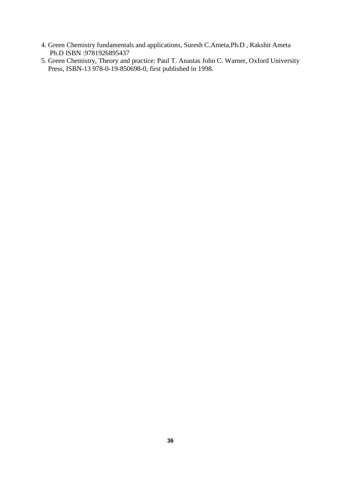- 4. Green Chemistry fundamentals and applications, Suresh C.Ameta,Ph.D , Rakshit Ameta Ph.D ISBN :9781926895437
- 5. Green Chemistry, Theory and practice: Paul T. Anastas John C. Warner, Oxford University Press, ISBN-13 978-0-19-850698-0, first published in 1998.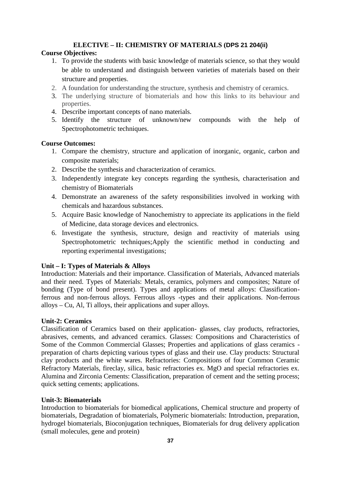# **ELECTIVE – II: CHEMISTRY OF MATERIALS (DPS 21 204(ii)**

# **Course Objectives:**

- 1. To provide the students with basic knowledge of materials science, so that they would be able to understand and distinguish between varieties of materials based on their structure and properties.
- 2. A foundation for understanding the structure, synthesis and chemistry of ceramics.
- 3. The underlying structure of biomaterials and how this links to its behaviour and properties.
- 4. Describe important concepts of nano materials.
- 5. Identify the structure of unknown/new compounds with the help of Spectrophotometric techniques.

# **Course Outcomes:**

- 1. Compare the chemistry, structure and application of inorganic, organic, carbon and composite materials;
- 2. Describe the synthesis and characterization of ceramics.
- 3. Independently integrate key concepts regarding the synthesis, characterisation and chemistry of Biomaterials
- 4. Demonstrate an awareness of the safety responsibilities involved in working with chemicals and hazardous substances.
- 5. Acquire Basic knowledge of Nanochemistry to appreciate its applications in the field of Medicine, data storage devices and electronics.
- 6. Investigate the synthesis, structure, design and reactivity of materials using Spectrophotometric techniques;Apply the scientific method in conducting and reporting experimental investigations;

# **Unit – I: Types of Materials & Alloys**

Introduction: Materials and their importance. Classification of Materials, Advanced materials and their need. Types of Materials: Metals, ceramics, polymers and composites; Nature of bonding (Type of bond present). Types and applications of metal alloys: Classificationferrous and non-ferrous alloys. Ferrous alloys -types and their applications. Non-ferrous alloys – Cu, Al, Ti alloys, their applications and super alloys.

# **Unit-2: Ceramics**

Classification of Ceramics based on their application- glasses, clay products, refractories, abrasives, cements, and advanced ceramics. Glasses: Compositions and Characteristics of Some of the Common Commercial Glasses; Properties and applications of glass ceramics preparation of charts depicting various types of glass and their use. Clay products: Structural clay products and the white wares. Refractories: Compositions of four Common Ceramic Refractory Materials, fireclay, silica, basic refractories ex. MgO and special refractories ex. Alumina and Zirconia Cements: Classification, preparation of cement and the setting process; quick setting cements; applications.

# **Unit-3: Biomaterials**

Introduction to biomaterials for biomedical applications, Chemical structure and property of biomaterials, Degradation of biomaterials, Polymeric biomaterials: Introduction, preparation, hydrogel biomaterials, Bioconjugation techniques, Biomaterials for drug delivery application (small molecules, gene and protein)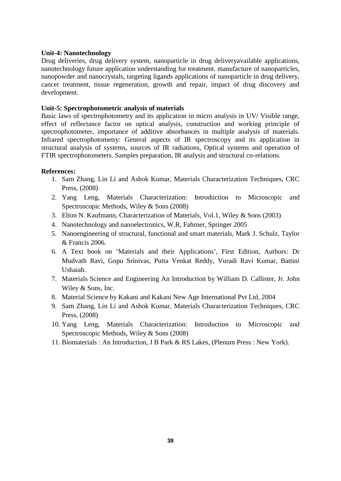# **Unit-4: Nanotechnology**

Drug deliveries, drug delivery system, nanoparticle in drug deliveryavailable applications, nanotechnology future application understanding for treatment. manufacture of nanoparticles, nanopowder and nanocrystals, targeting ligands applications of nanoparticle in drug delivery, cancer treatment, tissue regeneration, growth and repair, impact of drug discovery and development.

### **Unit-5: Spectrophotometric analysis of materials**

Basic laws of spectrophotometry and its application in micro analysis in UV/ Visible range, effect of reflectance factor on optical analysis, construction and working principle of spectrophotometer, importance of additive absorbances in multiple analysis of materials. Infrared spectrophotometry: General aspects of IR spectroscopy and its application in structural analysis of systems, sources of IR radiations, Optical systems and operation of FTIR spectrophotometers. Samples preparation, IR analysis and structural co-relations.

### **References:**

- 1. Sam Zhang, Lin Li and Ashok Kumar, Materials Characterization Techniques, CRC Press, (2008)
- 2. Yang Leng, Materials Characterization: Introduction to Microscopic and Spectroscopic Methods, Wiley & Sons (2008)
- 3. Elton N. Kaufmann, Characterization of Materials, Vol.1, Wiley & Sons (2003)
- 4. Nanotechnology and nanoelectronics, W.R, Fahrner, Springer 2005
- 5. Nanoengineering of structural, functional and smart materials, Mark J. Schulz, Taylor & Francis 2006.
- 6. A Text book on 'Materials and their Applications', First Edition, Authors: Dr Mudvath Ravi, Gopu Srinivas, Putta Venkat Reddy, Vuradi Ravi Kumar, Battini Ushaiah.
- 7. Materials Science and Engineering An Introduction by William D. Callister, Jr. John Wiley & Sons, Inc.
- 8. Material Science by Kakani and Kakani New Age International Pvt Ltd, 2004
- 9. Sam Zhang, Lin Li and Ashok Kumar, Materials Characterization Techniques, CRC Press, (2008)
- 10. Yang Leng, Materials Characterization: Introduction to Microscopic and Spectroscopic Methods, Wiley & Sons (2008)
- 11. Biomaterials : An Introduction, J B Park & RS Lakes, (Plenum Press : New York).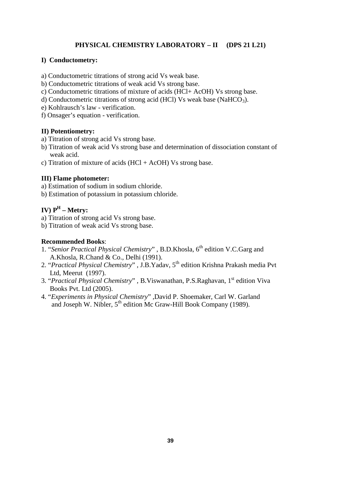# **PHYSICAL CHEMISTRY LABORATORY – II (DPS 21 L21)**

# **I) Conductometry:**

a) Conductometric titrations of strong acid Vs weak base.

- b) Conductometric titrations of weak acid Vs strong base.
- c) Conductometric titrations of mixture of acids (HCl+ AcOH) Vs strong base.
- d) Conductometric titrations of strong acid (HCl) Vs weak base (NaHCO<sub>3</sub>).
- e) Kohlrausch's law verification.
- f) Onsager's equation verification.

### **II) Potentiometry:**

- a) Titration of strong acid Vs strong base.
- b) Titration of weak acid Vs strong base and determination of dissociation constant of weak acid.
- c) Titration of mixture of acids  $(HCl + AcOH)$  Vs strong base.

# **III) Flame photometer:**

- a) Estimation of sodium in sodium chloride.
- b) Estimation of potassium in potassium chloride.

# **IV) P<sup>H</sup> – Metry:**

- a) Titration of strong acid Vs strong base.
- b) Titration of weak acid Vs strong base.

### **Recommended Books**:

- 1. "Senior Practical Physical Chemistry", B.D.Khosla, 6<sup>th</sup> edition V.C.Garg and A.Khosla, R.Chand & Co., Delhi (1991).
- 2. "Practical Physical Chemistry" , J.B.Yadav, 5<sup>th</sup> edition Krishna Prakash media Pvt Ltd, Meerut (1997).
- 3. "Practical Physical Chemistry", B.Viswanathan, P.S.Raghavan, 1<sup>st</sup> edition Viva Books Pvt. Ltd (2005).
- 4. "*Experiments in Physical Chemistry*" ,David P. Shoemaker, Carl W. Garland and Joseph W. Nibler, 5<sup>th</sup> edition Mc Graw-Hill Book Company (1989).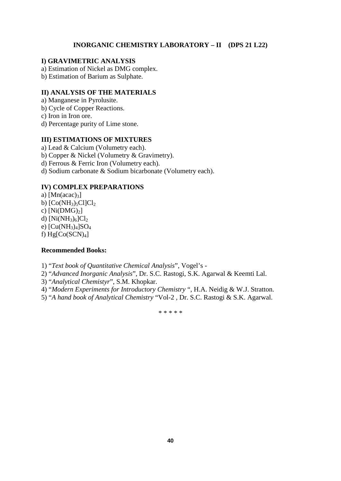# **INORGANIC CHEMISTRY LABORATORY – II (DPS 21 L22)**

# **I) GRAVIMETRIC ANALYSIS**

- a) Estimation of Nickel as DMG complex.
- b) Estimation of Barium as Sulphate.

# **II) ANALYSIS OF THE MATERIALS**

- a) Manganese in Pyrolusite.
- b) Cycle of Copper Reactions.
- c) Iron in Iron ore.
- d) Percentage purity of Lime stone.

### **III) ESTIMATIONS OF MIXTURES**

- a) Lead & Calcium (Volumetry each).
- b) Copper & Nickel (Volumetry & Gravimetry).
- d) Ferrous & Ferric Iron (Volumetry each).
- d) Sodium carbonate & Sodium bicarbonate (Volumetry each).

# **IV) COMPLEX PREPARATIONS**

a)  $[Mn(acac)<sub>3</sub>]$ b)  $[Co(NH<sub>3</sub>)<sub>5</sub>Cl]Cl<sub>2</sub>$ c)  $[Ni(DMG)<sub>2</sub>]$ d)  $[Ni(NH_3)_6]Cl_2$ e)  $[Cu(NH_3)_4]SO_4$ f)  $Hg[Co(SCN)<sub>4</sub>]$ 

#### **Recommended Books:**

1) "*Text book of Quantitative Chemical Analysis*", Vogel's -

- 2) "*Advanced Inorganic Analysis*", Dr. S.C. Rastogi, S.K. Agarwal & Keemti Lal.
- 3) "*Analytical Chemistyr*", S.M. Khopkar.
- 4) "*Modern Experiments for Introductory Chemistry* ", H.A. Neidig & W.J. Stratton.
- 5) "*A hand book of Analytical Chemistry* "Vol-2 , Dr. S.C. Rastogi & S.K. Agarwal.

\* \* \* \* \*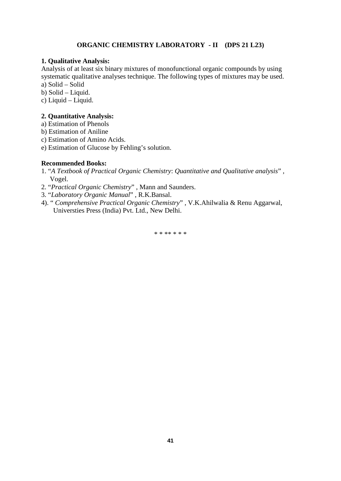# **ORGANIC CHEMISTRY LABORATORY - II (DPS 21 L23)**

### **1. Qualitative Analysis:**

Analysis of at least six binary mixtures of monofunctional organic compounds by using systematic qualitative analyses technique. The following types of mixtures may be used.

a) Solid – Solid

b) Solid – Liquid.

c) Liquid – Liquid.

# **2. Quantitative Analysis:**

a) Estimation of Phenols

b) Estimation of Aniline

c) Estimation of Amino Acids.

e) Estimation of Glucose by Fehling's solution.

#### **Recommended Books:**

- 1. "*A Textbook of Practical Organic Chemistry*: *Quantitative and Qualitative analysis*" , Vogel.
- 2. "*Practical Organic Chemistry*" , Mann and Saunders.
- 3. "*Laboratory Organic Manual*" , R.K.Bansal.
- 4). " *Comprehensive Practical Organic Chemistry*" , V.K.Ahilwalia & Renu Aggarwal, Universties Press (India) Pvt. Ltd., New Delhi.

\* \* \*\* \* \* \*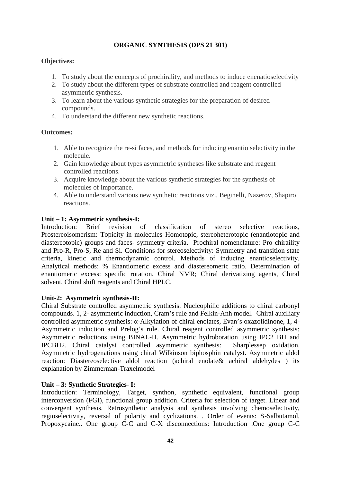# **ORGANIC SYNTHESIS (DPS 21 301)**

# **Objectives:**

- 1. To study about the concepts of prochirality, and methods to induce enenatioselectivity
- 2. To study about the different types of substrate controlled and reagent controlled asymmetric synthesis.
- 3. To learn about the various synthetic strategies for the preparation of desired compounds.
- 4. To understand the different new synthetic reactions.

# **Outcomes:**

- 1. Able to recognize the re-si faces, and methods for inducing enantio selectivity in the molecule.
- 2. Gain knowledge about types asymmetric syntheses like substrate and reagent controlled reactions.
- 3. Acquire knowledge about the various synthetic strategies for the synthesis of molecules of importance.
- 4. Able to understand various new synthetic reactions viz., Beginelli, Nazerov, Shapiro reactions.

# **Unit – 1: Asymmetric synthesis-I:**

Introduction: Brief revision of classification of stereo selective reactions, Prostereoisomerism: Topicity in molecules Homotopic, stereoheterotopic (enantiotopic and diastereotopic) groups and faces- symmetry criteria. Prochiral nomenclature: Pro chiraility and Pro-R, Pro-S, Re and Si. Conditions for stereoselectivity: Symmetry and transition state criteria, kinetic and thermodynamic control. Methods of inducing enantioselectivity. Analytical methods: % Enantiomeric excess and diastereomeric ratio. Determination of enantiomeric excess: specific rotation, Chiral NMR; Chiral derivatizing agents, Chiral solvent, Chiral shift reagents and Chiral HPLC.

# **Unit-2: Asymmetric synthesis-II:**

Chiral Substrate controlled asymmetric synthesis: Nucleophilic additions to chiral carbonyl compounds. 1, 2- asymmetric induction, Cram's rule and Felkin-Anh model. Chiral auxiliary controlled asymmetric synthesis: -Alkylation of chiral enolates, Evan's oxazolidinone, 1, 4-Asymmetric induction and Prelog's rule. Chiral reagent controlled asymmetric synthesis: Asymmetric reductions using BINAL-H. Asymmetric hydroboration using IPC2 BH and IPCBH2. Chiral catalyst controlled asymmetric synthesis: Sharplessep oxidation. Asymmetric hydrogenations using chiral Wilkinson biphosphin catalyst. Asymmetric aldol reaction: Diastereoselective aldol reaction (achiral enolate& achiral aldehydes ) its explanation by Zimmerman-Traxelmodel

# **Unit – 3: Synthetic Strategies- I:**

Introduction: Terminology, Target, synthon, synthetic equivalent, functional group interconversion (FGI), functional group addition. Criteria for selection of target. Linear and convergent synthesis. Retrosynthetic analysis and synthesis involving chemoselectivity, regioselectivity, reversal of polarity and cyclizations. . Order of events: S-Salbutamol, Propoxycaine.. One group C-C and C-X disconnections: Introduction .One group C-C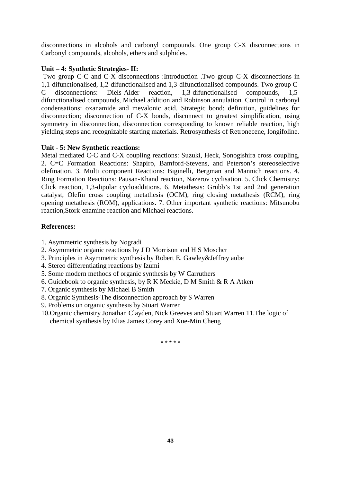disconnections in alcohols and carbonyl compounds. One group C-X disconnections in Carbonyl compounds, alcohols, ethers and sulphides.

# **Unit – 4: Synthetic Strategies- II:**

Two group C-C and C-X disconnections :Introduction .Two group C-X disconnections in 1,1-difunctionalised, 1,2-difunctionalised and 1,3-difunctionalised compounds. Two group C- C disconnections: Diels-Alder reaction, 1,3-difunctionalised compounds, 1,5 difunctionalised compounds, Michael addition and Robinson annulation. Control in carbonyl condensations: oxanamide and mevalonic acid. Strategic bond: definition, guidelines for disconnection; disconnection of C-X bonds, disconnect to greatest simplification, using symmetry in disconnection, disconnection corresponding to known reliable reaction, high yielding steps and recognizable starting materials. Retrosynthesis of Retronecene, longifoline.

# **Unit - 5: New Synthetic reactions:**

Metal mediated C-C and C-X coupling reactions: Suzuki, Heck, Sonogishira cross coupling, 2. C=C Formation Reactions: Shapiro, Bamford-Stevens, and Peterson's stereoselective olefination. 3. Multi component Reactions: Biginelli, Bergman and Mannich reactions. 4. Ring Formation Reactions: Pausan-Khand reaction, Nazerov cyclisation. 5. Click Chemistry: Click reaction, 1,3-dipolar cycloadditions. 6. Metathesis: Grubb's 1st and 2nd generation catalyst, Olefin cross coupling metathesis (OCM), ring closing metathesis (RCM), ring opening metathesis (ROM), applications. 7. Other important synthetic reactions: Mitsunobu reaction,Stork-enamine reaction and Michael reactions.

# **References:**

- 1. Asymmetric synthesis by Nogradi
- 2. Asymmetric organic reactions by J D Morrison and H S Moschcr
- 3. Principles in Asymmetric synthesis by Robert E. Gawley&Jeffrey aube
- 4. Stereo differentiating reactions by Izumi
- 5. Some modern methods of organic synthesis by W Carruthers
- 6. Guidebook to organic synthesis, by R K Meckie, D M Smith & R A Atken
- 7. Organic synthesis by Michael B Smith
- 8. Organic Synthesis-The disconnection approach by S Warren
- 9. Problems on organic synthesis by Stuart Warren
- 10.Organic chemistry Jonathan Clayden, Nick Greeves and Stuart Warren 11.The logic of chemical synthesis by Elias James Corey and Xue-Min Cheng

\* \* \* \* \*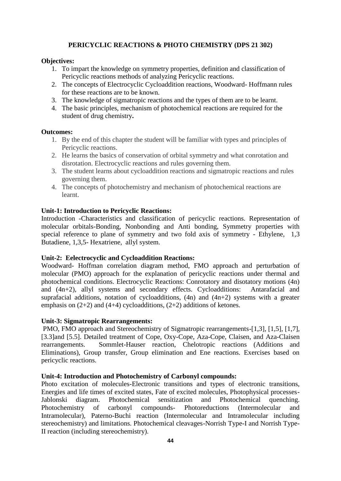# **PERICYCLIC REACTIONS & PHOTO CHEMISTRY (DPS 21 302)**

# **Objectives:**

- 1. To impart the knowledge on symmetry properties, definition and classification of Pericyclic reactions methods of analyzing Pericyclic reactions.
- 2. The concepts of Electrocyclic Cycloaddition reactions, Woodward- Hoffmann rules for these reactions are to be known.
- 3. The knowledge of sigmatropic reactions and the types of them are to be learnt.
- 4. The basic principles, mechanism of photochemical reactions are required for the student of drug chemistry**.**

# **Outcomes:**

- 1. By the end of this chapter the student will be familiar with types and principles of Pericyclic reactions.
- 2. He learns the basics of conservation of orbital symmetry and what conrotation and disrotation. Electrocyclic reactions and rules governing them.
- 3. The student learns about cycloaddition reactions and sigmatropic reactions and rules governing them.
- 4. The concepts of photochemistry and mechanism of photochemical reactions are learnt.

# **Unit-1: Introduction to Pericyclic Reactions:**

Introduction -Characteristics and classification of pericyclic reactions. Representation of molecular orbitals-Bonding, Nonbonding and Anti bonding, Symmetry properties with special reference to plane of symmetry and two fold axis of symmetry - Ethylene, 1,3 Butadiene, 1,3,5- Hexatriene, allyl system.

# **Unit-2: Eelectrocyclic and Cycloaddition Reactions:**

Woodward- Hoffman correlation diagram method, FMO approach and perturbation of molecular (PMO) approach for the explanation of pericyclic reactions under thermal and photochemical conditions. Electrocyclic Reactions: Conrotatory and disotatory motions (4n) and (4n+2), allyl systems and secondary effects. Cycloadditions: Antarafacial and suprafacial additions, notation of cycloadditions,  $(4n)$  and  $(4n+2)$  systems with a greater emphasis on  $(2+2)$  and  $(4+4)$  cycloadditions,  $(2+2)$  additions of ketones.

# **Unit-3: Sigmatropic Rearrangements:**

PMO, FMO approach and Stereochemistry of Sigmatropic rearrangements-[1,3], [1,5], [1,7], [3.3]and [5.5]. Detailed treatment of Cope, Oxy-Cope, Aza-Cope, Claisen, and Aza-Claisen rearrangements. Sommlet-Hauser reaction, Chelotropic reactions (Additions and Eliminations), Group transfer, Group elimination and Ene reactions. Exercises based on pericyclic reactions.

# **Unit-4: Introduction and Photochemistry of Carbonyl compounds:**

Photo excitation of molecules-Electronic transitions and types of electronic transitions, Energies and life times of excited states, Fate of excited molecules, Photophysical processes- Jablonski diagram. Photochemical sensitization and Photochemical quenching. Photochemistry of carbonyl compounds- Photoreductions (Intermolecular and Intramolecular), Paterno-Buchi reaction (Intermolecular and Intramolecular including stereochemistry) and limitations. Photochemical cleavages-Norrish Type-I and Norrish Type-II reaction (including stereochemistry).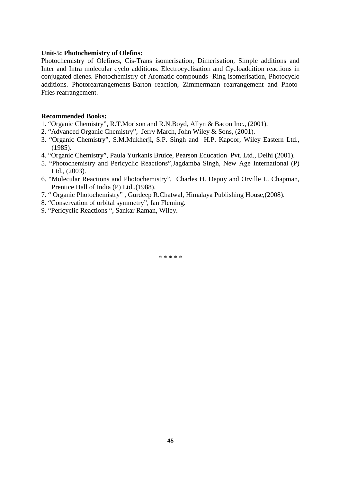#### **Unit-5: Photochemistry of Olefins:**

Photochemistry of Olefines, Cis-Trans isomerisation, Dimerisation, Simple additions and Inter and Intra molecular cyclo additions. Electrocyclisation and Cycloaddition reactions in conjugated dienes. Photochemistry of Aromatic compounds -Ring isomerisation, Photocyclo additions. Photorearrangements-Barton reaction, Zimmermann rearrangement and Photo- Fries rearrangement.

#### **Recommended Books:**

- 1. "Organic Chemistry", R.T.Morison and R.N.Boyd, Allyn & Bacon Inc., (2001).
- 2. "Advanced Organic Chemistry", Jerry March, John Wiley & Sons, (2001).
- 3. "Organic Chemistry", S.M.Mukherji, S.P. Singh and H.P. Kapoor, Wiley Eastern Ltd., (1985).
- 4. "Organic Chemistry", Paula Yurkanis Bruice, Pearson Education Pvt. Ltd., Delhi (2001).
- 5. "Photochemistry and Pericyclic Reactions",Jagdamba Singh, New Age International (P) Ltd., (2003).
- 6. "Molecular Reactions and Photochemistry", Charles H. Depuy and Orville L. Chapman, Prentice Hall of India (P) Ltd.,(1988).
- 7. " Organic Photochemistry" , Gurdeep R.Chatwal, Himalaya Publishing House,(2008).
- 8. "Conservation of orbital symmetry", Ian Fleming.
- 9. "Pericyclic Reactions ", Sankar Raman, Wiley.

\* \* \* \* \*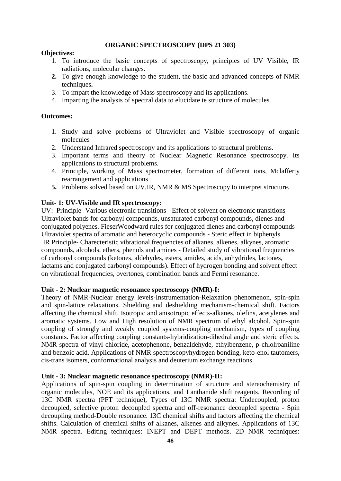### **ORGANIC SPECTROSCOPY (DPS 21 303)**

### **Objectives:**

- 1. To introduce the basic concepts of spectroscopy, principles of UV Visible, IR radiations, molecular changes.
- **2.** To give enough knowledge to the student, the basic and advanced concepts of NMR techniques**.**
- 3. To impart the knowledge of Mass spectroscopy and its applications.
- 4. Imparting the analysis of spectral data to elucidate te structure of molecules.

# **Outcomes:**

- 1. Study and solve problems of Ultraviolet and Visible spectroscopy of organic molecules
- 2. Understand Infrared spectroscopy and its applications to structural problems.
- 3. Important terms and theory of Nuclear Magnetic Resonance spectroscopy. Its applications to structural problems.
- 4. Principle, working of Mass spectrometer, formation of different ions, Mclafferty rearrangement and applications
- **5.** Problems solved based on UV,IR, NMR & MS Spectroscopy to interpret structure.

### **Unit- 1: UV-Visible and IR spectroscopy:**

UV: Principle -Various electronic transitions - Effect of solvent on electronic transitions - Ultraviolet bands for carbonyl compounds, unsaturated carbonyl compounds, dienes and conjugated polyenes. FieserWoodward rules for conjugated dienes and carbonyl compounds - Ultraviolet spectra of aromatic and heterocyclic compounds - Steric effect in biphenyls. IR Principle- Charecteristic vibrational frequencies of alkanes, alkenes, alkynes, aromatic compounds, alcohols, ethers, phenols and amines - Detailed study of vibrational frequencies of carbonyl compounds (ketones, aldehydes, esters, amides, acids, anhydrides, lactones, lactams and conjugated carbonyl compounds). Effect of hydrogen bonding and solvent effect on vibrational frequencies, overtones, combination bands and Fermi resonance.

#### **Unit - 2: Nuclear magnetic resonance spectroscopy (NMR)-I:**

Theory of NMR-Nuclear energy levels-Instrumentation-Relaxation phenomenon, spin-spin and spin-lattice relaxations. Shielding and deshielding mechanism-chemical shift. Factors affecting the chemical shift. Isotropic and anisotropic effects-alkanes, olefins, acetylenes and aromatic systems. Low and High resolution of NMR spectrum of ethyl alcohol. Spin-spin coupling of strongly and weakly coupled systems-coupling mechanism, types of coupling constants. Factor affecting coupling constants-hybridization-dihedral angle and steric effects. NMR spectra of vinyl chloride, acetophenone, benzaldehyde, ethylbenzene, p-chlolroaniline and benzoic acid. Applications of NMR spectroscopyhydrogen bonding, keto-enol tautomers, cis-trans isomers, conformational analysis and deuterium exchange reactions.

#### **Unit - 3: Nuclear magnetic resonance spectroscopy (NMR)-II:**

Applications of spin-spin coupling in determination of structure and stereochemistry of organic molecules, NOE and its applications, and Lanthanide shift reagents. Recording of 13C NMR spectra (PFT technique), Types of 13C NMR spectra: Undecoupled, proton decoupled, selective proton decoupled spectra and off-resonance decoupled spectra - Spin decoupling method-Double resonance. 13C chemical shifts and factors affecting the chemical shifts. Calculation of chemical shifts of alkanes, alkenes and alkynes. Applications of 13C NMR spectra. Editing techniques: INEPT and DEPT methods. 2D NMR techniques: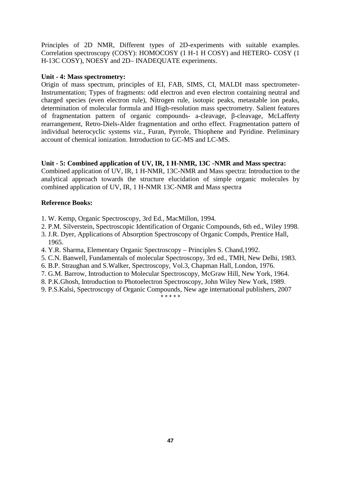Principles of 2D NMR, Different types of 2D-experiments with suitable examples. Correlation spectroscopy (COSY): HOMOCOSY (1 H-1 H COSY) and HETERO- COSY (1 H-13C COSY), NOESY and 2D– INADEQUATE experiments.

### **Unit - 4: Mass spectrometry:**

Origin of mass spectrum, principles of EI, FAB, SIMS, CI, MALDI mass spectrometer-Instrumentation; Types of fragments: odd electron and even electron containing neutral and charged species (even electron rule), Nitrogen rule, isotopic peaks, metastable ion peaks, determination of molecular formula and High-resolution mass spectrometry. Salient features of fragmentation pattern of organic compounds- a-cleavage, -cleavage, McLafferty rearrangement, Retro-Diels-Alder fragmentation and ortho effect. Fragmentation pattern of individual heterocyclic systems viz., Furan, Pyrrole, Thiophene and Pyridine. Preliminary account of chemical ionization. Introduction to GC-MS and LC-MS.

# **Unit - 5: Combined application of UV, IR, 1 H-NMR, 13C -NMR and Mass spectra:**

Combined application of UV, IR, 1 H-NMR, 13C-NMR and Mass spectra: Introduction to the analytical approach towards the structure elucidation of simple organic molecules by combined application of UV, IR, 1 H-NMR 13C-NMR and Mass spectra

# **Reference Books:**

- 1. W. Kemp, Organic Spectroscopy, 3rd Ed., MacMillon, 1994.
- 2. P.M. Silverstein, Spectroscopic Identification of Organic Compounds, 6th ed., Wiley 1998.
- 3. J.R. Dyer, Applications of Absorption Spectroscopy of Organic Compds, Prentice Hall, 1965.
- 4. Y.R. Sharma, Elementary Organic Spectroscopy Principles S. Chand,1992.
- 5. C.N. Banwell, Fundamentals of molecular Spectroscopy, 3rd ed., TMH, New Delhi, 1983.
- 6. B.P. Straughan and S.Walker, Spectroscopy, Vol.3, Chapman Hall, London, 1976.
- 7. G.M. Barrow, Introduction to Molecular Spectroscopy, McGraw Hill, New York, 1964.
- 8. P.K.Ghosh, Introduction to Photoelectron Spectroscopy, John Wiley New York, 1989.
- 9. P.S.Kalsi, Spectroscopy of Organic Compounds, New age international publishers, 2007

\_<br>\* \* \* \* \*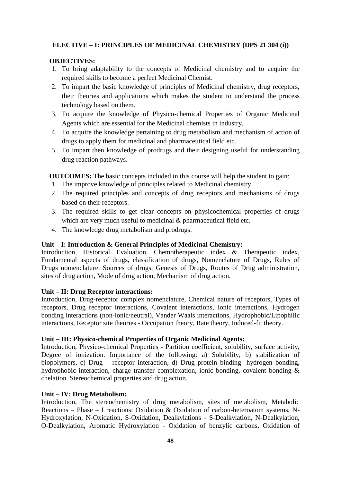# **ELECTIVE – I: PRINCIPLES OF MEDICINAL CHEMISTRY (DPS 21 304 (i))**

# **OBJECTIVES:**

- 1. To bring adaptability to the concepts of Medicinal chemistry and to acquire the required skills to become a perfect Medicinal Chemist.
- 2. To impart the basic knowledge of principles of Medicinal chemistry, drug receptors, their theories and applications which makes the student to understand the process technology based on them.
- 3. To acquire the knowledge of Physico-chemical Properties of Organic Medicinal Agents which are essential for the Medicinal chemists in industry.
- 4. To acquire the knowledge pertaining to drug metabolism and mechanism of action of drugs to apply them for medicinal and pharmaceutical field etc.
- 5. To impart then knowledge of prodrugs and their designing useful for understanding drug reaction pathways.

**OUTCOMES:** The basic concepts included in this course will help the student to gain:

- 1. The improve knowledge of principles related to Medicinal chemistry
- 2. The required principles and concepts of drug receptors and mechanisms of drugs based on their receptors.
- 3. The required skills to get clear concepts on physicochemical properties of drugs which are very much useful to medicinal & pharmaceutical field etc.
- 4. The knowledge drug metabolism and prodrugs.

# **Unit – I: Introduction & General Principles of Medicinal Chemistry:**

Introduction, Historical Evaluation, Chemotherapeutic index & Therapeutic index, Fundamental aspects of drugs, classification of drugs, Nomenclature of Drugs, Rules of Drugs nomenclature, Sources of drugs, Genesis of Drugs, Routes of Drug administration, sites of drug action, Mode of drug action, Mechanism of drug action,

# **Unit – II: Drug Receptor interactions:**

Introduction, Drug-receptor complex nomenclature, Chemical nature of receptors, Types of receptors, Drug receptor interactions, Covalent interactions, Ionic interactions, Hydrogen bonding interactions (non-ionic/neutral), Vander Waals interactions, Hydrophobic/Lipophilic interactions, Receptor site theories - Occupation theory, Rate theory, Induced-fit theory.

# **Unit – III: Physico-chemical Properties of Organic Medicinal Agents:**

Introduction, Physico-chemical Properties - Partition coefficient, solubility, surface activity, Degree of ionization. Importance of the following: a) Solubility, b) stabilization of biopolymers, c) Drug – receptor interaction, d) Drug protein binding- hydrogen bonding, hydrophobic interaction, charge transfer complexation, ionic bonding, covalent bonding & chelation. Stereochemical properties and drug action.

# **Unit – IV: Drug Metabolism:**

Introduction, The stereochemistry of drug metabolism, sites of metabolism, Metabolic Reactions – Phase – I reactions: Oxidation & Oxidation of carbon-heteroatom systems, N- Hydroxylation, N-Oxidation, S-Oxidation, Dealkylations - S-Dealkylation, N-Dealkylation, O-Dealkylation, Aromatic Hydroxylation - Oxidation of benzylic carbons, Oxidation of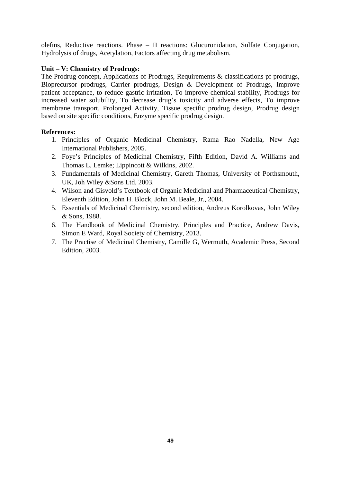olefins, Reductive reactions. Phase – II reactions: Glucuronidation, Sulfate Conjugation, Hydrolysis of drugs, Acetylation, Factors affecting drug metabolism.

# **Unit – V: Chemistry of Prodrugs:**

The Prodrug concept, Applications of Prodrugs, Requirements & classifications pf prodrugs, Bioprecursor prodrugs, Carrier prodrugs, Design & Development of Prodrugs, Improve patient acceptance, to reduce gastric irritation, To improve chemical stability, Prodrugs for increased water solubility, To decrease drug's toxicity and adverse effects, To improve membrane transport, Prolonged Activity, Tissue specific prodrug design, Prodrug design based on site specific conditions, Enzyme specific prodrug design.

# **References:**

- 1. Principles of Organic Medicinal Chemistry, Rama Rao Nadella, New Age International Publishers, 2005.
- 2. Foye's Principles of Medicinal Chemistry, Fifth Edition, David A. Williams and Thomas L. Lemke; Lippincott & Wilkins, 2002.
- 3. Fundamentals of Medicinal Chemistry, Gareth Thomas, University of Porthsmouth, UK, Joh Wiley &Sons Ltd, 2003.
- 4. Wilson and Gisvold's Textbook of Organic Medicinal and Pharmaceutical Chemistry, Eleventh Edition, John H. Block, John M. Beale, Jr., 2004.
- 5. Essentials of Medicinal Chemistry, second edition, Andreus Korolkovas, John Wiley & Sons, 1988.
- 6. The Handbook of Medicinal Chemistry, Principles and Practice, Andrew Davis, Simon E Ward, Royal Society of Chemistry, 2013.
- 7. The Practise of Medicinal Chemistry, Camille G, Wermuth, Academic Press, Second Edition, 2003.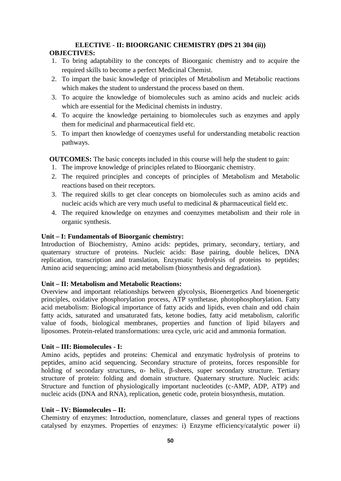# **ELECTIVE - II: BIOORGANIC CHEMISTRY (DPS 21 304 (ii))**

# **OBJECTIVES:**

- 1. To bring adaptability to the concepts of Bioorganic chemistry and to acquire the required skills to become a perfect Medicinal Chemist.
- 2. To impart the basic knowledge of principles of Metabolism and Metabolic reactions which makes the student to understand the process based on them.
- 3. To acquire the knowledge of biomolecules such as amino acids and nucleic acids which are essential for the Medicinal chemists in industry.
- 4. To acquire the knowledge pertaining to biomolecules such as enzymes and apply them for medicinal and pharmaceutical field etc.
- 5. To impart then knowledge of coenzymes useful for understanding metabolic reaction pathways.

**OUTCOMES:** The basic concepts included in this course will help the student to gain:

- 1. The improve knowledge of principles related to Bioorganic chemistry.
- 2. The required principles and concepts of principles of Metabolism and Metabolic reactions based on their receptors.
- 3. The required skills to get clear concepts on biomolecules such as amino acids and nucleic acids which are very much useful to medicinal & pharmaceutical field etc.
- 4. The required knowledge on enzymes and coenzymes metabolism and their role in organic synthesis.

# **Unit – I: Fundamentals of Bioorganic chemistry:**

Introduction of Biochemistry, Amino acids: peptides, primary, secondary, tertiary, and quaternary structure of proteins. Nucleic acids: Base pairing, double helices, DNA replication, transcription and translation, Enzymatic hydrolysis of proteins to peptides; Amino acid sequencing; amino acid metabolism (biosynthesis and degradation).

# **Unit – II: Metabolism and Metabolic Reactions:**

Overview and important relationships between glycolysis, Bioenergetics And bioenergetic principles, oxidative phosphorylation process, ATP synthetase, photophosphorylation. Fatty acid metabolism: Biological importance of fatty acids and lipids, even chain and odd chain fatty acids, saturated and unsaturated fats, ketone bodies, fatty acid metabolism, calorific value of foods, biological membranes, properties and function of lipid bilayers and liposomes. Protein-related transformations: urea cycle, uric acid and ammonia formation.

# **Unit – III: Biomolecules - I:**

Amino acids, peptides and proteins: Chemical and enzymatic hydrolysis of proteins to peptides, amino acid sequencing. Secondary structure of proteins, forces responsible for holding of secondary structures, - helix, -sheets, super secondary structure. Tertiary structure of protein: folding and domain structure. Quaternary structure. Nucleic acids: Structure and function of physiologically important nucleotides (c-AMP, ADP, ATP) and nucleic acids (DNA and RNA), replication, genetic code, protein biosynthesis, mutation.

# **Unit – IV: Biomolecules – II:**

Chemistry of enzymes: Introduction, nomenclature, classes and general types of reactions catalysed by enzymes. Properties of enzymes: i) Enzyme efficiency/catalytic power ii)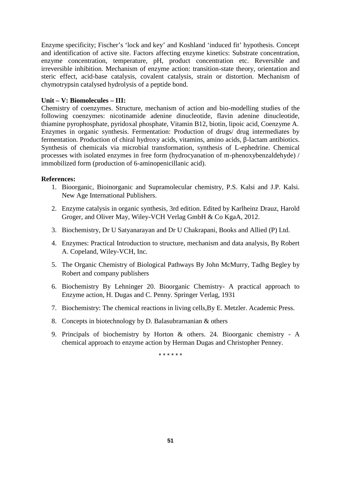Enzyme specificity; Fischer's 'lock and key' and Koshland 'induced fit' hypothesis. Concept and identification of active site. Factors affecting enzyme kinetics: Substrate concentration, enzyme concentration, temperature, pH, product concentration etc. Reversible and irreversible inhibition. Mechanism of enzyme action: transition-state theory, orientation and steric effect, acid-base catalysis, covalent catalysis, strain or distortion. Mechanism of chymotrypsin catalysed hydrolysis of a peptide bond.

# **Unit – V: Biomolecules – III:**

Chemistry of coenzymes. Structure, mechanism of action and bio-modelling studies of the following coenzymes: nicotinamide adenine dinucleotide, flavin adenine dinucleotide, thiamine pyrophosphate, pyridoxal phosphate, Vitamin B12, biotin, lipoic acid, Coenzyme A. Enzymes in organic synthesis. Fermentation: Production of drugs/ drug intermediates by fermentation. Production of chiral hydroxy acids, vitamins, amino acids, -lactam antibiotics. Synthesis of chemicals via microbial transformation, synthesis of L-ephedrine. Chemical processes with isolated enzymes in free form (hydrocyanation of m-phenoxybenzaldehyde) / immobilized form (production of 6-aminopenicillanic acid).

### **References:**

- 1. Bioorganic, Bioinorganic and Supramolecular chemistry, P.S. Kalsi and J.P. Kalsi. New Age International Publishers.
- 2. Enzyme catalysis in organic synthesis, 3rd edition. Edited by Karlheinz Drauz, Harold Groger, and Oliver May, Wiley-VCH Verlag GmbH & Co KgaA, 2012.
- 3. Biochemistry, Dr U Satyanarayan and Dr U Chakrapani, Books and Allied (P) Ltd.
- 4. Enzymes: Practical Introduction to structure, mechanism and data analysis, By Robert A. Copeland, Wiley-VCH, Inc.
- 5. The Organic Chemistry of Biological Pathways By John McMurry, Tadhg Begley by Robert and company publishers
- 6. Biochemistry By Lehninger 20. Bioorganic Chemistry- A practical approach to Enzyme action, H. Dugas and C. Penny. Springer Verlag, 1931
- 7. Biochemistry: The chemical reactions in living cells,By E. Metzler. Academic Press.
- 8. Concepts in biotechnology by D. Balasubrarnanian & others
- 9. Principals of biochemistry by Horton & others. 24. Bioorganic chemistry A chemical approach to enzyme action by Herman Dugas and Christopher Penney.

\* \* \* \* \* \*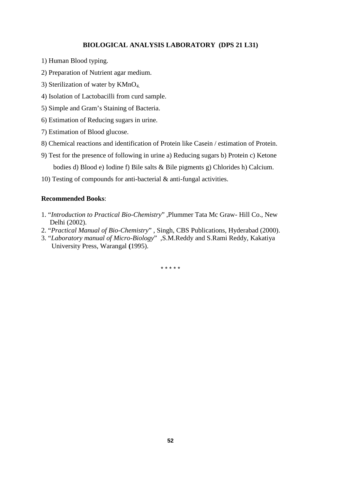### **BIOLOGICAL ANALYSIS LABORATORY (DPS 21 L31)**

- 1) Human Blood typing.
- 2) Preparation of Nutrient agar medium.
- 3) Sterilization of water by KMnO4.
- 4) Isolation of Lactobacilli from curd sample.
- 5) Simple and Gram's Staining of Bacteria.
- 6) Estimation of Reducing sugars in urine.
- 7) Estimation of Blood glucose.
- 8) Chemical reactions and identification of Protein like Casein / estimation of Protein.
- 9) Test for the presence of following in urine a) Reducing sugars b) Protein c) Ketone bodies d) Blood e) Iodine f) Bile salts & Bile pigments g) Chlorides h) Calcium.
- 10) Testing of compounds for anti-bacterial & anti-fungal activities.

# **Recommended Books**:

- 1. "*Introduction to Practical Bio-Chemistry*" ,Plummer Tata Mc Graw- Hill Co., New Delhi (2002).
- 2. "*Practical Manual of Bio-Chemistry*" , Singh, CBS Publications, Hyderabad (2000).
- 3. "*Laboratory manual of Micro-Biology*" ,S.M.Reddy and S.Rami Reddy, Kakatiya University Press, Warangal **(**1995).

\* \* \* \* \*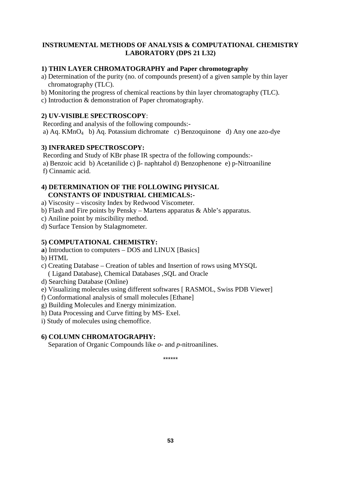# **INSTRUMENTAL METHODS OF ANALYSIS & COMPUTATIONAL CHEMISTRY LABORATORY (DPS 21 L32)**

# **1) THIN LAYER CHROMATOGRAPHY and Paper chromotography**

- a) Determination of the purity (no. of compounds present) of a given sample by thin layer chromatography (TLC).
- b) Monitoring the progress of chemical reactions by thin layer chromatography (TLC).
- c) Introduction & demonstration of Paper chromatography.

# **2) UV-VISIBLE SPECTROSCOPY**:

Recording and analysis of the following compounds:-

a) Aq. KMnO<sup>4</sup> b) Aq. Potassium dichromate c) Benzoquinone d) Any one azo-dye

# **3) INFRARED SPECTROSCOPY:**

Recording and Study of KBr phase IR spectra of the following compounds:-

a) Benzoic acid b) Acetanilide c) - naphtahol d) Benzophenone e) p-Nitroaniline

f) Cinnamic acid.

# **4) DETERMINATION OF THE FOLLOWING PHYSICAL CONSTANTS OF INDUSTRIAL CHEMICALS:-**

- a) Viscosity viscosity Index by Redwood Viscometer.
- b) Flash and Fire points by Pensky Martens apparatus & Able's apparatus.
- c) Aniline point by miscibility method.

d) Surface Tension by Stalagmometer.

# **5) COMPUTATIONAL CHEMISTRY:**

**a**) Introduction to computers – DOS and LINUX [Basics]

b) HTML

- c) Creating Database Creation of tables and Insertion of rows using MYSQL ( Ligand Database), Chemical Databases ,SQL and Oracle
- d) Searching Database (Online)
- e) Visualizing molecules using different softwares [ RASMOL, Swiss PDB Viewer]
- f) Conformational analysis of small molecules [Ethane]
- g) Building Molecules and Energy minimization.
- h) Data Processing and Curve fitting by MS- Exel.

i) Study of molecules using chemoffice.

# **6) COLUMN CHROMATOGRAPHY:**

Separation of Organic Compounds like *o*- and *p*-nitroanilines.

\*\*\*\*\*\*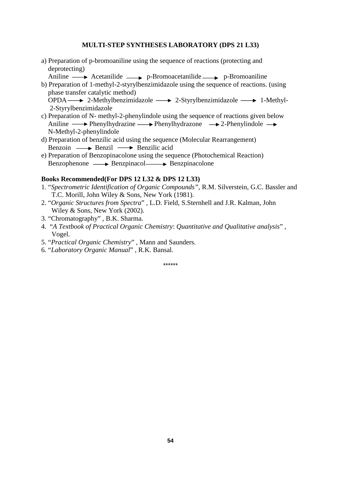### **MULTI-STEP SYNTHESES LABORATORY (DPS 21 L33)**

a) Preparation of p-bromoaniline using the sequence of reactions (protecting and deprotecting)

Aniline  $\longrightarrow$  Acetanilide  $\longrightarrow$  p-Bromoacetanilide  $\longrightarrow$  p-Bromoaniline

b) Preparation of 1-methyl-2-styrylbenzimidazole using the sequence of reactions. (using phase transfer catalytic method)

 $OPDA \longrightarrow 2-Methylbenzimidazole \longrightarrow 2-Styrylbenzimidazole \longrightarrow 1-Methyl-$ 2-Styrylbenzimidazole

- c) Preparation of N- methyl-2-phenylindole using the sequence of reactions given below Aniline  $\longrightarrow$  Phenylhydrazine  $\longrightarrow$  Phenylhydrazone  $\longrightarrow$  2-Phenylindole  $\longrightarrow$ N-Methyl-2-phenylindole
- d) Preparation of benzilic acid using the sequence (Molecular Rearrangement) Benzoin  $\longrightarrow$  Benzil  $\longrightarrow$  Benzilic acid
- e) Preparation of Benzopinacolone using the sequence (Photochemical Reaction)  $Benzophenone \longrightarrow \text{Benzpinacol} \longrightarrow \text{Benzpinacolone}$

# **Books Recommended(For DPS 12 L32 & DPS 12 L33)**

- 1. "*Spectrometric Identification of Organic Compounds",* R.M. Silverstein, G.C. Bassler and T.C. Morill, John Wiley & Sons, New York (1981).
- 2. "*Organic Structures from Spectra*" , L.D. Field, S.Sternhell and J.R. Kalman, John Wiley & Sons, New York (2002).
- 3. "Chromatography" , B.K. Sharma.
- 4. "*A Textbook of Practical Organic Chemistry*: *Quantitative and Qualitative analysis*" , Vogel.
- 5. "*Practical Organic Chemistry*" , Mann and Saunders.
- 6. "*Laboratory Organic Manual*" , R.K. Bansal.

\*\*\*\*\*\*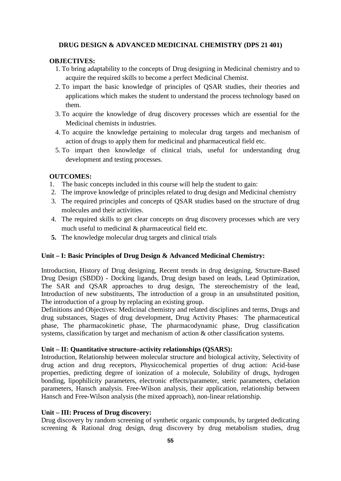# **DRUG DESIGN & ADVANCED MEDICINAL CHEMISTRY (DPS 21 401)**

# **OBJECTIVES:**

- 1. To bring adaptability to the concepts of Drug designing in Medicinal chemistry and to acquire the required skills to become a perfect Medicinal Chemist.
- 2. To impart the basic knowledge of principles of QSAR studies, their theories and applications which makes the student to understand the process technology based on them.
- 3. To acquire the knowledge of drug discovery processes which are essential for the Medicinal chemists in industries.
- 4. To acquire the knowledge pertaining to molecular drug targets and mechanism of action of drugs to apply them for medicinal and pharmaceutical field etc.
- 5. To impart then knowledge of clinical trials, useful for understanding drug development and testing processes.

# **OUTCOMES:**

- 1. The basic concepts included in this course will help the student to gain:
- 2. The improve knowledge of principles related to drug design and Medicinal chemistry
- 3. The required principles and concepts of QSAR studies based on the structure of drug molecules and their activities.
- 4. The required skills to get clear concepts on drug discovery processes which are very much useful to medicinal & pharmaceutical field etc.
- **5.** The knowledge molecular drug targets and clinical trials

# **Unit – I: Basic Principles of Drug Design & Advanced Medicinal Chemistry:**

Introduction, History of Drug designing, Recent trends in drug designing, Structure-Based Drug Design (SBDD) - Docking ligands, Drug design based on leads, Lead Optimization, The SAR and QSAR approaches to drug design, The stereochemistry of the lead, Introduction of new substituents, The introduction of a group in an unsubstituted position, The introduction of a group by replacing an existing group.

Definitions and Objectives: Medicinal chemistry and related disciplines and terms, Drugs and drug substances, Stages of drug development, Drug Activity Phases: The pharmaceutical phase, The pharmacokinetic phase, The pharmacodynamic phase, Drug classification systems, classification by target and mechanism of action & other classification systems.

# **Unit – II: Quantitative structure–activity relationships (QSARS):**

Introduction, Relationship between molecular structure and biological activity, Selectivity of drug action and drug receptors, Physicochemical properties of drug action: Acid-base properties, predicting degree of ionization of a molecule, Solubility of drugs, hydrogen bonding, lipophilicity parameters, electronic effects/parameter, steric parameters, chelation parameters, Hansch analysis. Free-Wilson analysis, their application, relationship between Hansch and Free-Wilson analysis (the mixed approach), non-linear relationship.

# **Unit – III: Process of Drug discovery:**

Drug discovery by random screening of synthetic organic compounds, by targeted dedicating screening & Rational drug design, drug discovery by drug metabolism studies, drug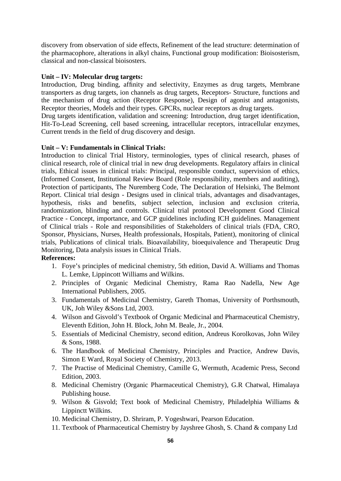discovery from observation of side effects, Refinement of the lead structure: determination of the pharmacophore, alterations in alkyl chains, Functional group modification: Bioisosterism, classical and non-classical bioisosters.

#### **Unit – IV: Molecular drug targets:**

Introduction, Drug binding, affinity and selectivity, Enzymes as drug targets, Membrane transporters as drug targets, ion channels as drug targets, Receptors- Structure, functions and the mechanism of drug action (Receptor Response), Design of agonist and antagonists, Receptor theories, Models and their types. GPCRs, nuclear receptors as drug targets.

Drug targets identification, validation and screening: Introduction, drug target identification, Hit-To-Lead Screening, cell based screening, intracellular receptors, intracellular enzymes, Current trends in the field of drug discovery and design.

### **Unit – V: Fundamentals in Clinical Trials:**

Introduction to clinical Trial History, terminologies, types of clinical research, phases of clinical research, role of clinical trial in new drug developments. Regulatory affairs in clinical trials, Ethical issues in clinical trials: Principal, responsible conduct, supervision of ethics, (Informed Consent, Institutional Review Board (Role responsibility, members and auditing), Protection of participants, The Nuremberg Code, The Declaration of Helsinki, The Belmont Report. Clinical trial design - Designs used in clinical trials, advantages and disadvantages, hypothesis, risks and benefits, subject selection, inclusion and exclusion criteria, randomization, blinding and controls. Clinical trial protocol Development Good Clinical Practice - Concept, importance, and GCP guidelines including ICH guidelines. Management of Clinical trials - Role and responsibilities of Stakeholders of clinical trials (FDA, CRO, Sponsor, Physicians, Nurses, Health professionals, Hospitals, Patient), monitoring of clinical trials, Publications of clinical trials. Bioavailability, bioequivalence and Therapeutic Drug Monitoring, Data analysis issues in Clinical Trials.

#### **References:**

- 1. Foye's principles of medicinal chemistry, 5th edition, David A. Williams and Thomas L. Lemke, Lippincott Williams and Wilkins.
- 2. Principles of Organic Medicinal Chemistry, Rama Rao Nadella, New Age International Publishers, 2005.
- 3. Fundamentals of Medicinal Chemistry, Gareth Thomas, University of Porthsmouth, UK, Joh Wiley &Sons Ltd, 2003.
- 4. Wilson and Gisvold's Textbook of Organic Medicinal and Pharmaceutical Chemistry, Eleventh Edition, John H. Block, John M. Beale, Jr., 2004.
- 5. Essentials of Medicinal Chemistry, second edition, Andreus Korolkovas, John Wiley & Sons, 1988.
- 6. The Handbook of Medicinal Chemistry, Principles and Practice, Andrew Davis, Simon E Ward, Royal Society of Chemistry, 2013.
- 7. The Practise of Medicinal Chemistry, Camille G, Wermuth, Academic Press, Second Edition, 2003.
- 8. Medicinal Chemistry (Organic Pharmaceutical Chemistry), G.R Chatwal, Himalaya Publishing house.
- 9. Wilson & Gisvold; Text book of Medicinal Chemistry, Philadelphia Williams & Lippinctt Wilkins.
- 10. Medicinal Chemistry, D. Shriram, P. Yogeshwari, Pearson Education.
- 11. Textbook of Pharmaceutical Chemistry by Jayshree Ghosh, S. Chand & company Ltd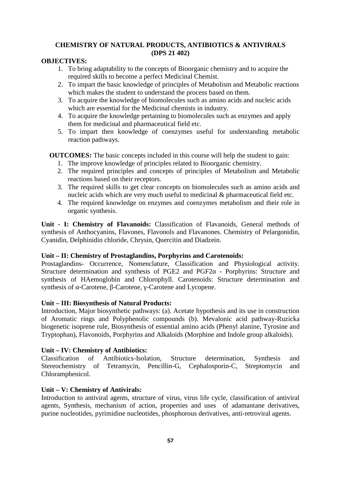# **CHEMISTRY OF NATURAL PRODUCTS, ANTIBIOTICS & ANTIVIRALS (DPS 21 402)**

# **OBJECTIVES:**

- 1. To bring adaptability to the concepts of Bioorganic chemistry and to acquire the required skills to become a perfect Medicinal Chemist.
- 2. To impart the basic knowledge of principles of Metabolism and Metabolic reactions which makes the student to understand the process based on them.
- 3. To acquire the knowledge of biomolecules such as amino acids and nucleic acids which are essential for the Medicinal chemists in industry.
- 4. To acquire the knowledge pertaining to biomolecules such as enzymes and apply them for medicinal and pharmaceutical field etc.
- 5. To impart then knowledge of coenzymes useful for understanding metabolic reaction pathways.

**OUTCOMES:** The basic concepts included in this course will help the student to gain:

- 1. The improve knowledge of principles related to Bioorganic chemistry.
- 2. The required principles and concepts of principles of Metabolism and Metabolic reactions based on their receptors.
- 3. The required skills to get clear concepts on biomolecules such as amino acids and nucleic acids which are very much useful to medicinal & pharmaceutical field etc.
- 4. The required knowledge on enzymes and coenzymes metabolism and their role in organic synthesis.

**Unit - I: Chemistry of Flavanoids:** Classification of Flavanoids, General methods of synthesis of Anthocyanins, Flavones, Flavonols and Flavanones. Chemistry of Pelargonidin, Cyanidin, Delphinidin chloride, Chrysin, Quercitin and Diadzein.

# **Unit – II: Chemistry of Prostaglandins, Porphyrins and Carotenoids:**

Prostaglandins- Occurrence, Nomenclature, Classification and Physiological activity. Structure determination and synthesis of PGE2 and PGF2 - Porphyrins: Structure and synthesis of HAemoglobin and Chlorophyll. Carotenoids: Structure determination and synthesis of -Carotene, -Carotene, -Carotene and Lycopene.

# **Unit – III: Biosynthesis of Natural Products:**

Introduction, Major biosynthetic pathways: (a). Acetate hypothesis and its use in construction of Aromatic rings and Polyphenolic compounds (b). Mevalonic acid pathway-Ruzicka biogenetic isoprene rule, Biosynthesis of essential amino acids (Phenyl alanine, Tyrosine and Tryptophan), Flavonoids, Porphyrins and Alkaloids (Morphine and Indole group alkaloids).

# **Unit – IV: Chemistry of Antibiotics:**

Classification of Antibiotics-Isolation, Structure determination, Synthesis and Stereochemistry of Tetramycin, Pencillin-G, Cephalosporin-C, Streptomycin and Chloramphenicol.

# **Unit – V: Chemistry of Antivirals:**

Introduction to antiviral agents, structure of virus, virus life cycle, classification of antiviral agents, Synthesis, mechanism of action, properties and uses of adamantane derivatives, purine nucleotides, pyrimidine nucleotides, phosphorous derivatives, anti-retroviral agents.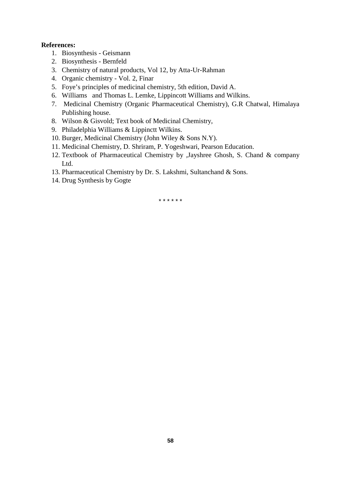# **References:**

- 1. Biosynthesis Geismann
- 2. Biosynthesis Bernfeld
- 3. Chemistry of natural products, Vol 12, by Atta-Ur-Rahman
- 4. Organic chemistry Vol. 2, Finar
- 5. Foye's principles of medicinal chemistry, 5th edition, David A.
- 6. Williams and Thomas L. Lemke, Lippincott Williams and Wilkins.
- 7. Medicinal Chemistry (Organic Pharmaceutical Chemistry), G.R Chatwal, Himalaya Publishing house.
- 8. Wilson & Gisvold; Text book of Medicinal Chemistry,
- 9. Philadelphia Williams & Lippinctt Wilkins.
- 10. Burger, Medicinal Chemistry (John Wiley & Sons N.Y).
- 11. Medicinal Chemistry, D. Shriram, P. Yogeshwari, Pearson Education.
- 12. Textbook of Pharmaceutical Chemistry by ,Jayshree Ghosh, S. Chand & company Ltd.
- 13. Pharmaceutical Chemistry by Dr. S. Lakshmi, Sultanchand & Sons.
- 14. Drug Synthesis by Gogte

\* \* \* \* \* \*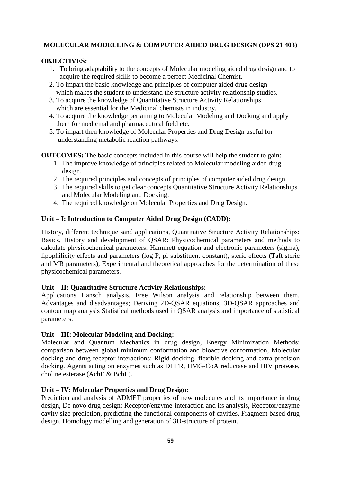# **MOLECULAR MODELLING & COMPUTER AIDED DRUG DESIGN (DPS 21 403)**

# **OBJECTIVES:**

- 1. To bring adaptability to the concepts of Molecular modeling aided drug design and to acquire the required skills to become a perfect Medicinal Chemist.
- 2. To impart the basic knowledge and principles of computer aided drug design which makes the student to understand the structure activity relationship studies.
- 3. To acquire the knowledge of Quantitative Structure Activity Relationships which are essential for the Medicinal chemists in industry.
- 4. To acquire the knowledge pertaining to Molecular Modeling and Docking and apply them for medicinal and pharmaceutical field etc.
- 5. To impart then knowledge of Molecular Properties and Drug Design useful for understanding metabolic reaction pathways.

**OUTCOMES:** The basic concepts included in this course will help the student to gain:

- 1. The improve knowledge of principles related to Molecular modeling aided drug design.
- 2. The required principles and concepts of principles of computer aided drug design.
- 3. The required skills to get clear concepts Quantitative Structure Activity Relationships and Molecular Modeling and Docking.
- 4. The required knowledge on Molecular Properties and Drug Design.

# **Unit – I: Introduction to Computer Aided Drug Design (CADD):**

History, different technique sand applications, Quantitative Structure Activity Relationships: Basics, History and development of QSAR: Physicochemical parameters and methods to calculate physicochemical parameters: Hammett equation and electronic parameters (sigma), lipophilicity effects and parameters (log P, pi substituent constant), steric effects (Taft steric and MR parameters), Experimental and theoretical approaches for the determination of these physicochemical parameters.

# **Unit – II: Quantitative Structure Activity Relationships:**

Applications Hansch analysis, Free Wilson analysis and relationship between them, Advantages and disadvantages; Deriving 2D-QSAR equations, 3D-QSAR approaches and contour map analysis Statistical methods used in QSAR analysis and importance of statistical parameters.

# **Unit – III: Molecular Modeling and Docking:**

Molecular and Quantum Mechanics in drug design, Energy Minimization Methods: comparison between global minimum conformation and bioactive conformation, Molecular docking and drug receptor interactions: Rigid docking, flexible docking and extra-precision docking. Agents acting on enzymes such as DHFR, HMG-CoA reductase and HIV protease, choline esterase (AchE & BchE).

# **Unit – IV: Molecular Properties and Drug Design:**

Prediction and analysis of ADMET properties of new molecules and its importance in drug design, De novo drug design: Receptor/enzyme-interaction and its analysis, Receptor/enzyme cavity size prediction, predicting the functional components of cavities, Fragment based drug design. Homology modelling and generation of 3D-structure of protein.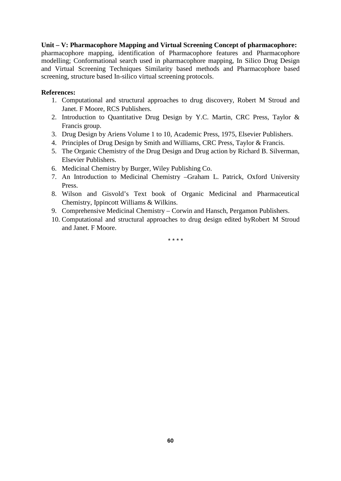# **Unit – V: Pharmacophore Mapping and Virtual Screening Concept of pharmacophore:**

pharmacophore mapping, identification of Pharmacophore features and Pharmacophore modelling; Conformational search used in pharmacophore mapping, In Silico Drug Design and Virtual Screening Techniques Similarity based methods and Pharmacophore based screening, structure based In-silico virtual screening protocols.

# **References:**

- 1. Computational and structural approaches to drug discovery, Robert M Stroud and Janet. F Moore, RCS Publishers.
- 2. Introduction to Quantitative Drug Design by Y.C. Martin, CRC Press, Taylor & Francis group.
- 3. Drug Design by Ariens Volume 1 to 10, Academic Press, 1975, Elsevier Publishers.
- 4. Principles of Drug Design by Smith and Williams, CRC Press, Taylor & Francis.
- 5. The Organic Chemistry of the Drug Design and Drug action by Richard B. Silverman, Elsevier Publishers.
- 6. Medicinal Chemistry by Burger, Wiley Publishing Co.
- 7. An Introduction to Medicinal Chemistry –Graham L. Patrick, Oxford University Press.
- 8. Wilson and Gisvold's Text book of Organic Medicinal and Pharmaceutical Chemistry, Ippincott Williams & Wilkins.
- 9. Comprehensive Medicinal Chemistry Corwin and Hansch, Pergamon Publishers.
- 10. Computational and structural approaches to drug design edited byRobert M Stroud and Janet. F Moore.

\* \* \* \*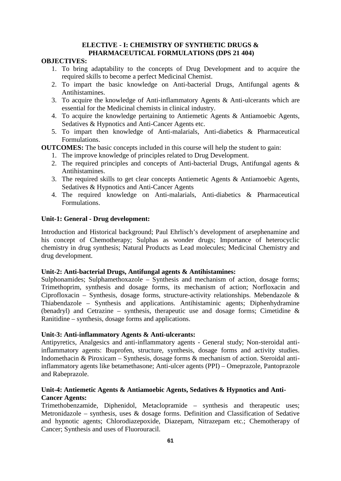### **ELECTIVE - I: CHEMISTRY OF SYNTHETIC DRUGS & PHARMACEUTICAL FORMULATIONS (DPS 21 404)**

# **OBJECTIVES:**

- 1. To bring adaptability to the concepts of Drug Development and to acquire the required skills to become a perfect Medicinal Chemist.
- 2. To impart the basic knowledge on Anti-bacterial Drugs, Antifungal agents & Antihistamines.
- 3. To acquire the knowledge of Anti-inflammatory Agents & Anti-ulcerants which are essential for the Medicinal chemists in clinical industry.
- 4. To acquire the knowledge pertaining to Antiemetic Agents & Antiamoebic Agents, Sedatives & Hypnotics and Anti-Cancer Agents etc.
- 5. To impart then knowledge of Anti-malarials, Anti-diabetics & Pharmaceutical Formulations.

**OUTCOMES:** The basic concepts included in this course will help the student to gain:

- 1. The improve knowledge of principles related to Drug Development.
- 2. The required principles and concepts of Anti-bacterial Drugs, Antifungal agents & Antihistamines.
- 3. The required skills to get clear concepts Antiemetic Agents & Antiamoebic Agents, Sedatives & Hypnotics and Anti-Cancer Agents
- 4. The required knowledge on Anti-malarials, Anti-diabetics & Pharmaceutical Formulations.

# **Unit-1: General - Drug development:**

Introduction and Historical background; Paul Ehrlisch's development of arsephenamine and his concept of Chemotherapy; Sulphas as wonder drugs; Importance of heterocyclic chemistry in drug synthesis; Natural Products as Lead molecules; Medicinal Chemistry and drug development.

# **Unit-2: Anti-bacterial Drugs, Antifungal agents & Antihistamines:**

Sulphonamides; Sulphamethoxazole – Synthesis and mechanism of action, dosage forms; Trimethoprim, synthesis and dosage forms, its mechanism of action; Norfloxacin and Ciprofloxacin – Synthesis, dosage forms, structure-activity relationships. Mebendazole  $\&$ Thiabendazole – Synthesis and applications. Antihistaminic agents; Diphenhydramine (benadryl) and Cetrazine – synthesis, therapeutic use and dosage forms; Cimetidine & Ranitidine – synthesis, dosage forms and applications.

# **Unit-3: Anti-inflammatory Agents & Anti-ulcerants:**

Antipyretics, Analgesics and anti-inflammatory agents - General study; Non-steroidal antiinflammatory agents: Ibuprofen, structure, synthesis, dosage forms and activity studies. Indomethacin & Piroxicam – Synthesis, dosage forms & mechanism of action. Steroidal antiinflammatory agents like betamethasone; Anti-ulcer agents (PPI) – Omeprazole, Pantoprazole and Rabeprazole.

# **Unit-4: Antiemetic Agents & Antiamoebic Agents, Sedatives & Hypnotics and Anti- Cancer Agents:**

Trimethobenzamide, Diphenidol, Metaclopramide – synthesis and therapeutic uses; Metronidazole – synthesis, uses  $\&$  dosage forms. Definition and Classification of Sedative and hypnotic agents; Chlorodiazepoxide, Diazepam, Nitrazepam etc.; Chemotherapy of Cancer; Synthesis and uses of Fluorouracil.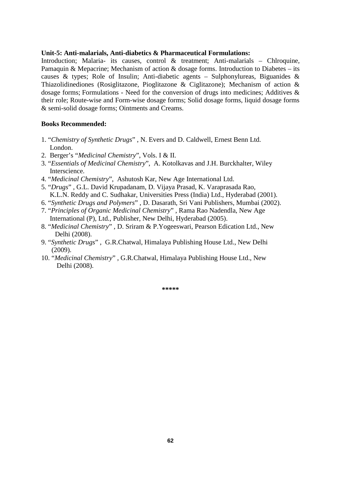#### **Unit-5: Anti-malarials, Anti-diabetics & Pharmaceutical Formulations:**

Introduction: Malaria- its causes, control & treatment: Anti-malarials – Chlroquine, Pamaquin & Mepacrine; Mechanism of action & dosage forms. Introduction to Diabetes – its causes & types; Role of Insulin; Anti-diabetic agents – Sulphonylureas, Biguanides & Thiazolidinediones (Rosiglitazone, Pioglitazone & Ciglitazone); Mechanism of action & dosage forms; Formulations - Need for the conversion of drugs into medicines; Additives & their role; Route-wise and Form-wise dosage forms; Solid dosage forms, liquid dosage forms & semi-solid dosage forms; Ointments and Creams.

#### **Books Recommended:**

- 1. "*Chemistry of Synthetic Drugs*" , N. Evers and D. Caldwell, Ernest Benn Ltd. London.
- 2. Berger's "*Medicinal Chemistry*", Vols. I & II.
- 3. "*Essentials of Medicinal Chemistry*", A. Kotolkavas and J.H. Burckhalter, Wiley Interscience.
- 4. "*Medicinal Chemistry*", Ashutosh Kar, New Age International Ltd.
- 5. "*Drugs*" , G.L. David Krupadanam, D. Vijaya Prasad, K. Varaprasada Rao, K.L.N. Reddy and C. Sudhakar, Universities Press (India) Ltd., Hyderabad (2001).
- 6. "*Synthetic Drugs and Polymers*" , D. Dasarath, Sri Vani Publishers, Mumbai (2002).
- 7. "*Principles of Organic Medicinal Chemistry*" , Rama Rao Nadendla, New Age International (P), Ltd., Publisher, New Delhi, Hyderabad (2005).
- 8. "*Medicinal Chemistry*" , D. Sriram & P.Yogeeswari, Pearson Edication Ltd., New Delhi (2008).
- 9. "*Synthetic Drugs*" , G.R.Chatwal, Himalaya Publishing House Ltd., New Delhi (2009).
- 10. "*Medicinal Chemistry*" , G.R.Chatwal, Himalaya Publishing House Ltd., New Delhi (2008).

**\*\*\*\*\***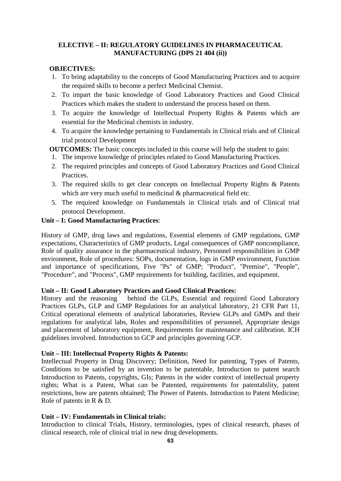# **ELECTIVE – II: REGULATORY GUIDELINES IN PHARMACEUTICAL MANUFACTURING (DPS 21 404 (ii))**

# **OBJECTIVES:**

- 1. To bring adaptability to the concepts of Good Manufacturing Practices and to acquire the required skills to become a perfect Medicinal Chemist.
- 2. To impart the basic knowledge of Good Laboratory Practices and Good Clinical Practices which makes the student to understand the process based on them.
- 3. To acquire the knowledge of Intellectual Property Rights & Patents which are essential for the Medicinal chemists in industry.
- 4. To acquire the knowledge pertaining to Fundamentals in Clinical trials and of Clinical trial protocol Development

**OUTCOMES:** The basic concepts included in this course will help the student to gain:

- 1. The improve knowledge of principles related to Good Manufacturing Practices.
- 2. The required principles and concepts of Good Laboratory Practices and Good Clinical Practices.
- 3. The required skills to get clear concepts on Intellectual Property Rights & Patents which are very much useful to medicinal  $\&$  pharmaceutical field etc.
- 5. The required knowledge on Fundamentals in Clinical trials and of Clinical trial protocol Development.

# **Unit – I: Good Manufacturing Practices**:

History of GMP, drug laws and regulations, Essential elements of GMP regulations, GMP expectations, Characteristics of GMP products, Legal consequences of GMP noncompliance, Role of quality assurance in the pharmaceutical industry, Personnel responsibilities in GMP environment, Role of procedures: SOPs, documentation, logs in GMP environment, Function and importance of specifications, Five "Ps" of GMP; "Product", "Premise", "People", "Procedure", and "Process", GMP requirements for building, facilities, and equipment.

# **Unit – II: Good Laboratory Practices and Good Clinical Practices:**

History and the reasoning behind the GLPs, Essential and required Good Laboratory Practices GLPs, GLP and GMP Regulations for an analytical laboratory, 21 CFR Part 11, Critical operational elements of analytical laboratories, Review GLPs and GMPs and their regulations for analytical labs, Roles and responsibilities of personnel, Appropriate design and placement of laboratory equipment, Requirements for maintenance and calibration. ICH guidelines involved. Introduction to GCP and principles governing GCP.

# **Unit – III: Intellectual Property Rights & Patents:**

Intellectual Property in Drug Discovery; Definition, Need for patenting, Types of Patents, Conditions to be satisfied by an invention to be patentable, Introduction to patent search Introduction to Patents, copyrights, GIs; Patents in the wider context of intellectual property rights; What is a Patent, What can be Patented, requirements for patentability, patent restrictions, how are patents obtained; The Power of Patents. Introduction to Patent Medicine; Role of patents in R & D.

# **Unit – IV: Fundamentals in Clinical trials:**

Introduction to clinical Trials, History, terminologies, types of clinical research, phases of clinical research, role of clinical trial in new drug developments.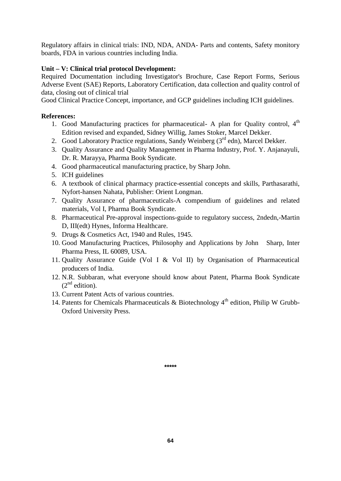Regulatory affairs in clinical trials: IND, NDA, ANDA- Parts and contents, Safety monitory boards, FDA in various countries including India.

# **Unit – V: Clinical trial protocol Development:**

Required Documentation including Investigator's Brochure, Case Report Forms, Serious Adverse Event (SAE) Reports, Laboratory Certification, data collection and quality control of data, closing out of clinical trial

Good Clinical Practice Concept, importance, and GCP guidelines including ICH guidelines.

# **References:**

- 1. Good Manufacturing practices for pharmaceutical- A plan for Quality control, 4<sup>th</sup> Edition revised and expanded, Sidney Willig, James Stoker, Marcel Dekker.
- 2. Good Laboratory Practice regulations, Sandy Weinberg  $(3<sup>rd</sup>$ edn), Marcel Dekker.
- 3. Quality Assurance and Quality Management in Pharma Industry, Prof. Y. Anjanayuli, Dr. R. Marayya, Pharma Book Syndicate.
- 4. Good pharmaceutical manufacturing practice, by Sharp John.
- 5. ICH guidelines
- 6. A textbook of clinical pharmacy practice-essential concepts and skills, Parthasarathi, Nyfort-hansen Nahata, Publisher: Orient Longman.
- 7. Quality Assurance of pharmaceuticals-A compendium of guidelines and related materials, Vol I, Pharma Book Syndicate.
- 8. Pharmaceutical Pre-approval inspections-guide to regulatory success, 2ndedn,-Martin D, III(edt) Hynes, Informa Healthcare.
- 9. Drugs & Cosmetics Act, 1940 and Rules, 1945.
- 10. Good Manufacturing Practices, Philosophy and Applications by John Sharp, Inter Pharma Press, IL 60089, USA.
- 11. Quality Assurance Guide (Vol I & Vol II) by Organisation of Pharmaceutical producers of India.
- 12. N.R. Subbaran, what everyone should know about Patent, Pharma Book Syndicate  $(2^{nd}$  edition).
- 13. Current Patent Acts of various countries.
- 14. Patents for Chemicals Pharmaceuticals & Biotechnology  $4<sup>th</sup>$  edition, Philip W Grubb-Oxford University Press.

**\*\*\*\*\***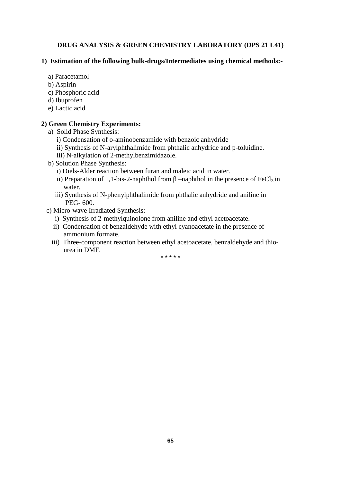# **DRUG ANALYSIS & GREEN CHEMISTRY LABORATORY (DPS 21 L41)**

# **1) Estimation of the following bulk-drugs/Intermediates using chemical methods:-**

- a) Paracetamol
- b) Aspirin
- c) Phosphoric acid
- d) Ibuprofen
- e) Lactic acid

# **2) Green Chemistry Experiments:**

- a) Solid Phase Synthesis:
	- i) Condensation of o-aminobenzamide with benzoic anhydride
	- ii) Synthesis of N-arylphthalimide from phthalic anhydride and p-toluidine.
	- iii) N-alkylation of 2-methylbenzimidazole.
- b) Solution Phase Synthesis:
	- i) Diels-Alder reaction between furan and maleic acid in water.
	- ii) Preparation of 1,1-bis-2-naphthol from –naphthol in the presence of  $FeCl<sub>3</sub>$  in water.
	- iii) Synthesis of N-phenylphthalimide from phthalic anhydride and aniline in PEG- 600.
- c) Micro-wave Irradiated Synthesis:
	- i) Synthesis of 2-methylquinolone from aniline and ethyl acetoacetate.
	- ii) Condensation of benzaldehyde with ethyl cyanoacetate in the presence of ammonium formate.
	- iii) Three-component reaction between ethyl acetoacetate, benzaldehyde and thio urea in DMF.

\* \* \* \* \*